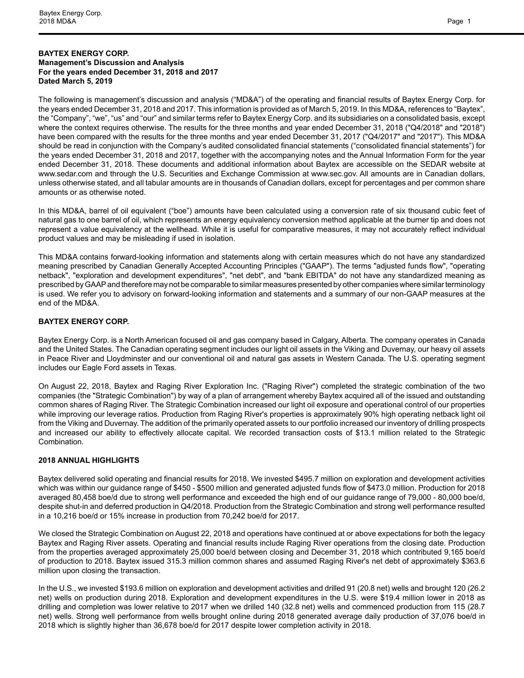## **BAYTEX ENERGY CORP. Management's Discussion and Analysis For the years ended December 31, 2018 and 2017 Dated March 5, 2019**

The following is management's discussion and analysis ("MD&A") of the operating and financial results of Baytex Energy Corp. for the years ended December 31, 2018 and 2017. This information is provided as of March 5, 2019. In this MD&A, references to "Baytex", the "Company", "we", "us" and "our" and similar terms refer to Baytex Energy Corp. and its subsidiaries on a consolidated basis, except where the context requires otherwise. The results for the three months and year ended December 31, 2018 ("Q4/2018" and "2018") have been compared with the results for the three months and year ended December 31, 2017 ("Q4/2017" and "2017"). This MD&A should be read in conjunction with the Company's audited consolidated financial statements ("consolidated financial statements") for the years ended December 31, 2018 and 2017, together with the accompanying notes and the Annual Information Form for the year ended December 31, 2018. These documents and additional information about Baytex are accessible on the SEDAR website at www.sedar.com and through the U.S. Securities and Exchange Commission at www.sec.gov. All amounts are in Canadian dollars, unless otherwise stated, and all tabular amounts are in thousands of Canadian dollars, except for percentages and per common share amounts or as otherwise noted.

In this MD&A, barrel of oil equivalent ("boe") amounts have been calculated using a conversion rate of six thousand cubic feet of natural gas to one barrel of oil, which represents an energy equivalency conversion method applicable at the burner tip and does not represent a value equivalency at the wellhead. While it is useful for comparative measures, it may not accurately reflect individual product values and may be misleading if used in isolation.

This MD&A contains forward-looking information and statements along with certain measures which do not have any standardized meaning prescribed by Canadian Generally Accepted Accounting Principles ("GAAP"). The terms "adjusted funds flow", "operating netback", "exploration and development expenditures", "net debt", and "bank EBITDA" do not have any standardized meaning as prescribed by GAAP and therefore may not be comparable to similar measures presented by other companies where similar terminology is used. We refer you to advisory on forward-looking information and statements and a summary of our non-GAAP measures at the end of the MD&A.

# **BAYTEX ENERGY CORP.**

Baytex Energy Corp. is a North American focused oil and gas company based in Calgary, Alberta. The company operates in Canada and the United States. The Canadian operating segment includes our light oil assets in the Viking and Duvernay, our heavy oil assets in Peace River and Lloydminster and our conventional oil and natural gas assets in Western Canada. The U.S. operating segment includes our Eagle Ford assets in Texas.

On August 22, 2018, Baytex and Raging River Exploration Inc. ("Raging River") completed the strategic combination of the two companies (the "Strategic Combination") by way of a plan of arrangement whereby Baytex acquired all of the issued and outstanding common shares of Raging River. The Strategic Combination increased our light oil exposure and operational control of our properties while improving our leverage ratios. Production from Raging River's properties is approximately 90% high operating netback light oil from the Viking and Duvernay. The addition of the primarily operated assets to our portfolio increased our inventory of drilling prospects and increased our ability to effectively allocate capital. We recorded transaction costs of \$13.1 million related to the Strategic Combination.

## **2018 ANNUAL HIGHLIGHTS**

Baytex delivered solid operating and financial results for 2018. We invested \$495.7 million on exploration and development activities which was within our guidance range of \$450 - \$500 million and generated adjusted funds flow of \$473.0 million. Production for 2018 averaged 80,458 boe/d due to strong well performance and exceeded the high end of our guidance range of 79,000 - 80,000 boe/d, despite shut-in and deferred production in Q4/2018. Production from the Strategic Combination and strong well performance resulted in a 10,216 boe/d or 15% increase in production from 70,242 boe/d for 2017.

We closed the Strategic Combination on August 22, 2018 and operations have continued at or above expectations for both the legacy Baytex and Raging River assets. Operating and financial results include Raging River operations from the closing date. Production from the properties averaged approximately 25,000 boe/d between closing and December 31, 2018 which contributed 9,165 boe/d of production to 2018. Baytex issued 315.3 million common shares and assumed Raging River's net debt of approximately \$363.6 million upon closing the transaction.

In the U.S., we invested \$193.6 million on exploration and development activities and drilled 91 (20.8 net) wells and brought 120 (26.2 net) wells on production during 2018. Exploration and development expenditures in the U.S. were \$19.4 million lower in 2018 as drilling and completion was lower relative to 2017 when we drilled 140 (32.8 net) wells and commenced production from 115 (28.7 net) wells. Strong well performance from wells brought online during 2018 generated average daily production of 37,076 boe/d in 2018 which is slightly higher than 36,678 boe/d for 2017 despite lower completion activity in 2018.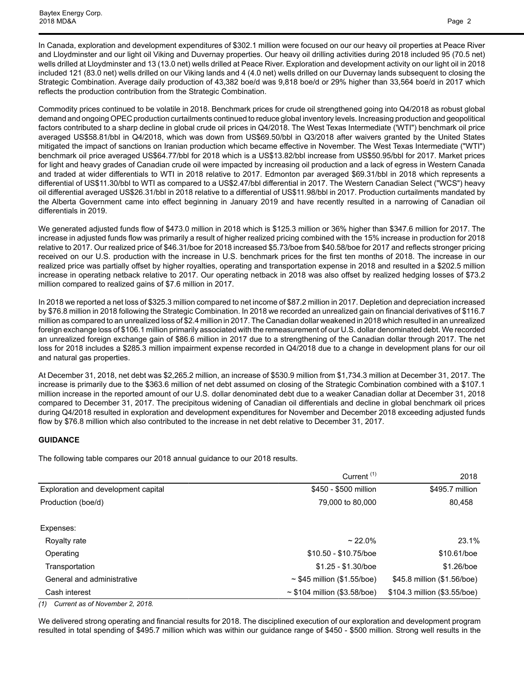In Canada, exploration and development expenditures of \$302.1 million were focused on our our heavy oil properties at Peace River and Lloydminster and our light oil Viking and Duvernay properties. Our heavy oil drilling activities during 2018 included 95 (70.5 net) wells drilled at Lloydminster and 13 (13.0 net) wells drilled at Peace River. Exploration and development activity on our light oil in 2018 included 121 (83.0 net) wells drilled on our Viking lands and 4 (4.0 net) wells drilled on our Duvernay lands subsequent to closing the Strategic Combination. Average daily production of 43,382 boe/d was 9,818 boe/d or 29% higher than 33,564 boe/d in 2017 which reflects the production contribution from the Strategic Combination.

Commodity prices continued to be volatile in 2018. Benchmark prices for crude oil strengthened going into Q4/2018 as robust global demand and ongoing OPEC production curtailments continued to reduce global inventory levels. Increasing production and geopolitical factors contributed to a sharp decline in global crude oil prices in Q4/2018. The West Texas Intermediate ('WTI") benchmark oil price averaged US\$58.81/bbl in Q4/2018, which was down from US\$69.50/bbl in Q3/2018 after waivers granted by the United States mitigated the impact of sanctions on Iranian production which became effective in November. The West Texas Intermediate ("WTI") benchmark oil price averaged US\$64.77/bbl for 2018 which is a US\$13.82/bbl increase from US\$50.95/bbl for 2017. Market prices for light and heavy grades of Canadian crude oil were impacted by increasing oil production and a lack of egress in Western Canada and traded at wider differentials to WTI in 2018 relative to 2017. Edmonton par averaged \$69.31/bbl in 2018 which represents a differential of US\$11.30/bbl to WTI as compared to a US\$2.47/bbl differential in 2017. The Western Canadian Select ("WCS") heavy oil differential averaged US\$26.31/bbl in 2018 relative to a differential of US\$11.98/bbl in 2017. Production curtailments mandated by the Alberta Government came into effect beginning in January 2019 and have recently resulted in a narrowing of Canadian oil differentials in 2019.

We generated adjusted funds flow of \$473.0 million in 2018 which is \$125.3 million or 36% higher than \$347.6 million for 2017. The increase in adjusted funds flow was primarily a result of higher realized pricing combined with the 15% increase in production for 2018 relative to 2017. Our realized price of \$46.31/boe for 2018 increased \$5.73/boe from \$40.58/boe for 2017 and reflects stronger pricing received on our U.S. production with the increase in U.S. benchmark prices for the first ten months of 2018. The increase in our realized price was partially offset by higher royalties, operating and transportation expense in 2018 and resulted in a \$202.5 million increase in operating netback relative to 2017. Our operating netback in 2018 was also offset by realized hedging losses of \$73.2 million compared to realized gains of \$7.6 million in 2017.

In 2018 we reported a net loss of \$325.3 million compared to net income of \$87.2 million in 2017. Depletion and depreciation increased by \$76.8 million in 2018 following the Strategic Combination. In 2018 we recorded an unrealized gain on financial derivatives of \$116.7 million as compared to an unrealized loss of \$2.4 million in 2017. The Canadian dollar weakened in 2018 which resulted in an unrealized foreign exchange loss of \$106.1 million primarily associated with the remeasurement of our U.S. dollar denominated debt. We recorded an unrealized foreign exchange gain of \$86.6 million in 2017 due to a strengthening of the Canadian dollar through 2017. The net loss for 2018 includes a \$285.3 million impairment expense recorded in Q4/2018 due to a change in development plans for our oil and natural gas properties.

At December 31, 2018, net debt was \$2,265.2 million, an increase of \$530.9 million from \$1,734.3 million at December 31, 2017. The increase is primarily due to the \$363.6 million of net debt assumed on closing of the Strategic Combination combined with a \$107.1 million increase in the reported amount of our U.S. dollar denominated debt due to a weaker Canadian dollar at December 31, 2018 compared to December 31, 2017. The precipitous widening of Canadian oil differentials and decline in global benchmark oil prices during Q4/2018 resulted in exploration and development expenditures for November and December 2018 exceeding adjusted funds flow by \$76.8 million which also contributed to the increase in net debt relative to December 31, 2017.

# **GUIDANCE**

The following table compares our 2018 annual guidance to our 2018 results.

|                                     | Current <sup>(1)</sup>            | 2018                         |
|-------------------------------------|-----------------------------------|------------------------------|
| Exploration and development capital | \$450 - \$500 million             | \$495.7 million              |
| Production (boe/d)                  | 79,000 to 80,000                  | 80,458                       |
| Expenses:                           |                                   |                              |
| Royalty rate                        | $\sim$ 22.0%                      | 23.1%                        |
| Operating                           | \$10.50 - \$10.75/boe             | \$10.61/boe                  |
| Transportation                      | $$1.25 - $1.30/$ boe              | \$1.26/boe                   |
| General and administrative          | $\sim$ \$45 million (\$1.55/boe)  | \$45.8 million (\$1.56/boe)  |
| Cash interest                       | $\sim$ \$104 million (\$3.58/boe) | \$104.3 million (\$3.55/boe) |
|                                     |                                   |                              |

*(1) Current as of November 2, 2018.*

We delivered strong operating and financial results for 2018. The disciplined execution of our exploration and development program resulted in total spending of \$495.7 million which was within our guidance range of \$450 - \$500 million. Strong well results in the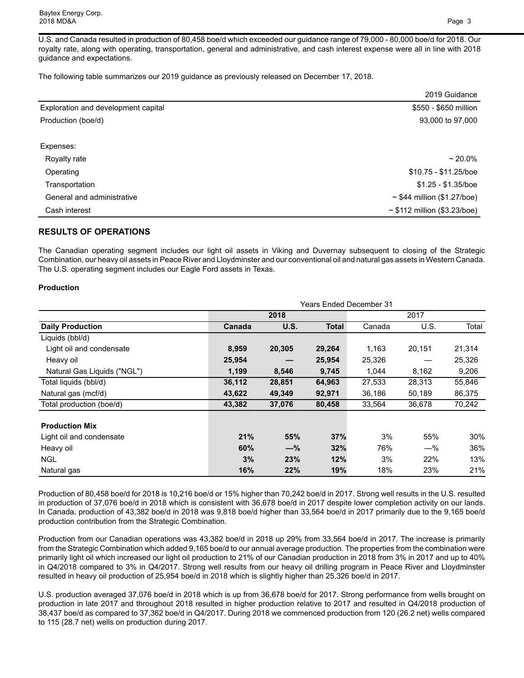U.S. and Canada resulted in production of 80,458 boe/d which exceeded our guidance range of 79,000 - 80,000 boe/d for 2018. Our royalty rate, along with operating, transportation, general and administrative, and cash interest expense were all in line with 2018 guidance and expectations.

The following table summarizes our 2019 guidance as previously released on December 17, 2018.

|                                     | 2019 Guidance                     |
|-------------------------------------|-----------------------------------|
| Exploration and development capital | \$550 - \$650 million             |
| Production (boe/d)                  | 93,000 to 97,000                  |
|                                     |                                   |
| Expenses:                           |                                   |
| Royalty rate                        | $~20.0\%$                         |
| Operating                           | \$10.75 - \$11.25/boe             |
| Transportation                      | $$1.25 - $1.35/$ boe              |
| General and administrative          | $\sim$ \$44 million (\$1.27/boe)  |
| Cash interest                       | $\sim$ \$112 million (\$3.23/boe) |

# **RESULTS OF OPERATIONS**

The Canadian operating segment includes our light oil assets in Viking and Duvernay subsequent to closing of the Strategic Combination, our heavy oil assets in Peace River and Lloydminster and our conventional oil and natural gas assets in Western Canada. The U.S. operating segment includes our Eagle Ford assets in Texas.

# **Production**

|                             |        | Years Ended December 31 |              |        |        |        |  |  |  |  |
|-----------------------------|--------|-------------------------|--------------|--------|--------|--------|--|--|--|--|
|                             |        | 2018                    |              |        | 2017   |        |  |  |  |  |
| <b>Daily Production</b>     | Canada | <b>U.S.</b>             | <b>Total</b> | Canada | U.S.   | Total  |  |  |  |  |
| Liquids (bbl/d)             |        |                         |              |        |        |        |  |  |  |  |
| Light oil and condensate    | 8,959  | 20,305                  | 29,264       | 1,163  | 20,151 | 21,314 |  |  |  |  |
| Heavy oil                   | 25,954 |                         | 25,954       | 25,326 |        | 25,326 |  |  |  |  |
| Natural Gas Liquids ("NGL") | 1,199  | 8,546                   | 9,745        | 1,044  | 8,162  | 9,206  |  |  |  |  |
| Total liquids (bbl/d)       | 36,112 | 28,851                  | 64,963       | 27,533 | 28,313 | 55,846 |  |  |  |  |
| Natural gas (mcf/d)         | 43,622 | 49,349                  | 92,971       | 36,186 | 50,189 | 86,375 |  |  |  |  |
| Total production (boe/d)    | 43,382 | 37,076                  | 80,458       | 33.564 | 36,678 | 70,242 |  |  |  |  |
| <b>Production Mix</b>       |        |                         |              |        |        |        |  |  |  |  |
| Light oil and condensate    | 21%    | 55%                     | 37%          | 3%     | 55%    | 30%    |  |  |  |  |
| Heavy oil                   | 60%    | $-\%$                   | 32%          | 76%    | $-\%$  | 36%    |  |  |  |  |
| <b>NGL</b>                  | 3%     | 23%                     | 12%          | 3%     | 22%    | 13%    |  |  |  |  |
| Natural gas                 | 16%    | 22%                     | 19%          | 18%    | 23%    | 21%    |  |  |  |  |

Production of 80,458 boe/d for 2018 is 10,216 boe/d or 15% higher than 70,242 boe/d in 2017. Strong well results in the U.S. resulted in production of 37,076 boe/d in 2018 which is consistent with 36,678 boe/d in 2017 despite lower completion activity on our lands. In Canada, production of 43,382 boe/d in 2018 was 9,818 boe/d higher than 33,564 boe/d in 2017 primarily due to the 9,165 boe/d production contribution from the Strategic Combination.

Production from our Canadian operations was 43,382 boe/d in 2018 up 29% from 33,564 boe/d in 2017. The increase is primarily from the Strategic Combination which added 9,165 boe/d to our annual average production. The properties from the combination were primarily light oil which increased our light oil production to 21% of our Canadian production in 2018 from 3% in 2017 and up to 40% in Q4/2018 compared to 3% in Q4/2017. Strong well results from our heavy oil drilling program in Peace River and Lloydminster resulted in heavy oil production of 25,954 boe/d in 2018 which is slightly higher than 25,326 boe/d in 2017.

U.S. production averaged 37,076 boe/d in 2018 which is up from 36,678 boe/d for 2017. Strong performance from wells brought on production in late 2017 and throughout 2018 resulted in higher production relative to 2017 and resulted in Q4/2018 production of 38,437 boe/d as compared to 37,362 boe/d in Q4/2017. During 2018 we commenced production from 120 (26.2 net) wells compared to 115 (28.7 net) wells on production during 2017.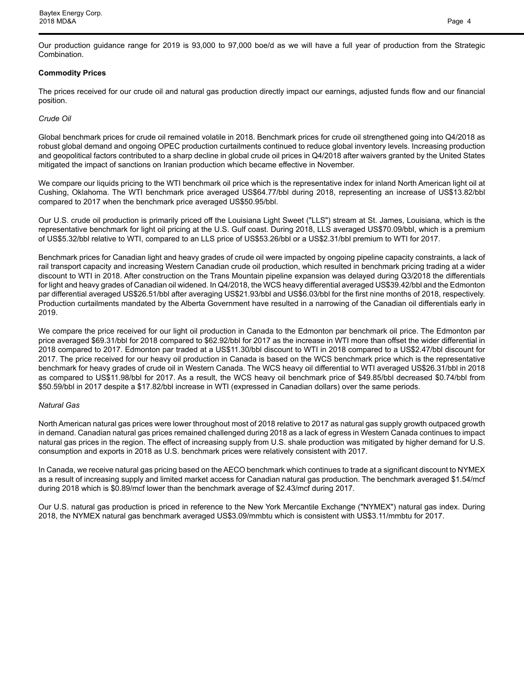Our production guidance range for 2019 is 93,000 to 97,000 boe/d as we will have a full year of production from the Strategic Combination.

## **Commodity Prices**

The prices received for our crude oil and natural gas production directly impact our earnings, adjusted funds flow and our financial position.

## *Crude Oil*

Global benchmark prices for crude oil remained volatile in 2018. Benchmark prices for crude oil strengthened going into Q4/2018 as robust global demand and ongoing OPEC production curtailments continued to reduce global inventory levels. Increasing production and geopolitical factors contributed to a sharp decline in global crude oil prices in Q4/2018 after waivers granted by the United States mitigated the impact of sanctions on Iranian production which became effective in November.

We compare our liquids pricing to the WTI benchmark oil price which is the representative index for inland North American light oil at Cushing, Oklahoma. The WTI benchmark price averaged US\$64.77/bbl during 2018, representing an increase of US\$13.82/bbl compared to 2017 when the benchmark price averaged US\$50.95/bbl.

Our U.S. crude oil production is primarily priced off the Louisiana Light Sweet ("LLS") stream at St. James, Louisiana, which is the representative benchmark for light oil pricing at the U.S. Gulf coast. During 2018, LLS averaged US\$70.09/bbl, which is a premium of US\$5.32/bbl relative to WTI, compared to an LLS price of US\$53.26/bbl or a US\$2.31/bbl premium to WTI for 2017.

Benchmark prices for Canadian light and heavy grades of crude oil were impacted by ongoing pipeline capacity constraints, a lack of rail transport capacity and increasing Western Canadian crude oil production, which resulted in benchmark pricing trading at a wider discount to WTI in 2018. After construction on the Trans Mountain pipeline expansion was delayed during Q3/2018 the differentials for light and heavy grades of Canadian oil widened. In Q4/2018, the WCS heavy differential averaged US\$39.42/bbl and the Edmonton par differential averaged US\$26.51/bbl after averaging US\$21.93/bbl and US\$6.03/bbl for the first nine months of 2018, respectively. Production curtailments mandated by the Alberta Government have resulted in a narrowing of the Canadian oil differentials early in 2019.

We compare the price received for our light oil production in Canada to the Edmonton par benchmark oil price. The Edmonton par price averaged \$69.31/bbl for 2018 compared to \$62.92/bbl for 2017 as the increase in WTI more than offset the wider differential in 2018 compared to 2017. Edmonton par traded at a US\$11.30/bbl discount to WTI in 2018 compared to a US\$2.47/bbl discount for 2017. The price received for our heavy oil production in Canada is based on the WCS benchmark price which is the representative benchmark for heavy grades of crude oil in Western Canada. The WCS heavy oil differential to WTI averaged US\$26.31/bbl in 2018 as compared to US\$11.98/bbl for 2017. As a result, the WCS heavy oil benchmark price of \$49.85/bbl decreased \$0.74/bbl from \$50.59/bbl in 2017 despite a \$17.82/bbl increase in WTI (expressed in Canadian dollars) over the same periods.

## *Natural Gas*

North American natural gas prices were lower throughout most of 2018 relative to 2017 as natural gas supply growth outpaced growth in demand. Canadian natural gas prices remained challenged during 2018 as a lack of egress in Western Canada continues to impact natural gas prices in the region. The effect of increasing supply from U.S. shale production was mitigated by higher demand for U.S. consumption and exports in 2018 as U.S. benchmark prices were relatively consistent with 2017.

In Canada, we receive natural gas pricing based on the AECO benchmark which continues to trade at a significant discount to NYMEX as a result of increasing supply and limited market access for Canadian natural gas production. The benchmark averaged \$1.54/mcf during 2018 which is \$0.89/mcf lower than the benchmark average of \$2.43/mcf during 2017.

Our U.S. natural gas production is priced in reference to the New York Mercantile Exchange ("NYMEX") natural gas index. During 2018, the NYMEX natural gas benchmark averaged US\$3.09/mmbtu which is consistent with US\$3.11/mmbtu for 2017.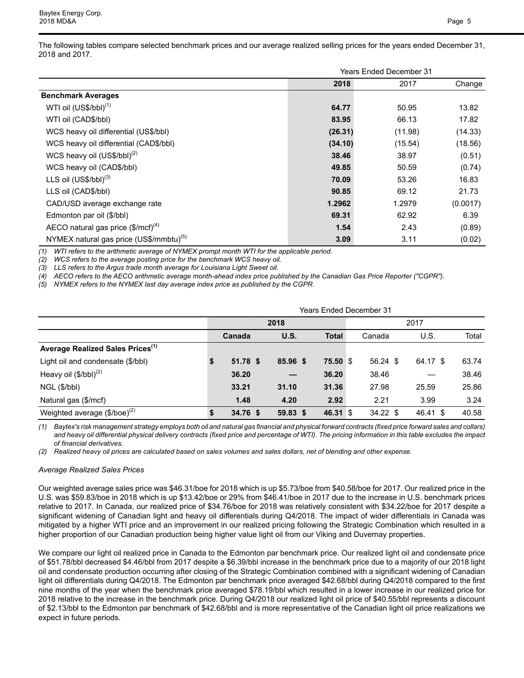The following tables compare selected benchmark prices and our average realized selling prices for the years ended December 31, 2018 and 2017.

| <b>Years Ended December 31</b>                      |         |         |          |  |  |  |
|-----------------------------------------------------|---------|---------|----------|--|--|--|
|                                                     | 2018    | 2017    | Change   |  |  |  |
| <b>Benchmark Averages</b>                           |         |         |          |  |  |  |
| WTI oil (US\$/bbl) <sup>(1)</sup>                   | 64.77   | 50.95   | 13.82    |  |  |  |
| WTI oil (CAD\$/bbl)                                 | 83.95   | 66.13   | 17.82    |  |  |  |
| WCS heavy oil differential (US\$/bbl)               | (26.31) | (11.98) | (14.33)  |  |  |  |
| WCS heavy oil differential (CAD\$/bbl)              | (34.10) | (15.54) | (18.56)  |  |  |  |
| WCS heavy oil $(US$/bbI)^{(2)}$                     | 38.46   | 38.97   | (0.51)   |  |  |  |
| WCS heavy oil (CAD\$/bbl)                           | 49.85   | 50.59   | (0.74)   |  |  |  |
| LLS oil $(US$/bbI)^{(3)}$                           | 70.09   | 53.26   | 16.83    |  |  |  |
| LLS oil (CAD\$/bbl)                                 | 90.85   | 69.12   | 21.73    |  |  |  |
| CAD/USD average exchange rate                       | 1.2962  | 1.2979  | (0.0017) |  |  |  |
| Edmonton par oil (\$/bbl)                           | 69.31   | 62.92   | 6.39     |  |  |  |
| AECO natural gas price $($/mcf)^{(4)}$              | 1.54    | 2.43    | (0.89)   |  |  |  |
| NYMEX natural gas price (US\$/mmbtu) <sup>(5)</sup> | 3.09    | 3.11    | (0.02)   |  |  |  |

*(1) WTI refers to the arithmetic average of NYMEX prompt month WTI for the applicable period.* 

*(2) WCS refers to the average posting price for the benchmark WCS heavy oil.* 

*(3) LLS refers to the Argus trade month average for Louisiana Light Sweet oil.*

*(4) AECO refers to the AECO arithmetic average month-ahead index price published by the Canadian Gas Price Reporter ("CGPR").*

*(5) NYMEX refers to the NYMEX last day average index price as published by the CGPR.*

|                                              | Years Ended December 31 |            |            |  |              |  |            |  |          |       |
|----------------------------------------------|-------------------------|------------|------------|--|--------------|--|------------|--|----------|-------|
|                                              | 2018                    |            |            |  |              |  |            |  | 2017     |       |
|                                              |                         | Canada     | U.S.       |  | <b>Total</b> |  | Canada     |  | U.S.     | Total |
| Average Realized Sales Prices <sup>(1)</sup> |                         |            |            |  |              |  |            |  |          |       |
| Light oil and condensate (\$/bbl)            | \$                      | $51.78$ \$ | 85.96 \$   |  | 75.50 \$     |  | 56.24 \$   |  | 64.17 \$ | 63.74 |
| Heavy oil $(\$/bbl)^{(2)}$                   |                         | 36.20      |            |  | 36.20        |  | 38.46      |  |          | 38.46 |
| NGL (\$/bbl)                                 |                         | 33.21      | 31.10      |  | 31.36        |  | 27.98      |  | 25.59    | 25.86 |
| Natural gas (\$/mcf)                         |                         | 1.48       | 4.20       |  | 2.92         |  | 2.21       |  | 3.99     | 3.24  |
| Weighted average $(\$/boe)^{(2)}$            | S                       | 34.76 \$   | $59.83$ \$ |  | 46.31 \$     |  | $34.22$ \$ |  | 46.41 \$ | 40.58 |

*(1) Baytex's risk management strategy employs both oil and natural gas financial and physical forward contracts (fixed price forward sales and collars) and heavy oil differential physical delivery contracts (fixed price and percentage of WTI). The pricing information in this table excludes the impact of financial derivatives.* 

*(2) Realized heavy oil prices are calculated based on sales volumes and sales dollars, net of blending and other expense.* 

## *Average Realized Sales Prices*

Our weighted average sales price was \$46.31/boe for 2018 which is up \$5.73/boe from \$40.58/boe for 2017. Our realized price in the U.S. was \$59.83/boe in 2018 which is up \$13.42/boe or 29% from \$46.41/boe in 2017 due to the increase in U.S. benchmark prices relative to 2017. In Canada, our realized price of \$34.76/boe for 2018 was relatively consistent with \$34.22/boe for 2017 despite a significant widening of Canadian light and heavy oil differentials during Q4/2018. The impact of wider differentials in Canada was mitigated by a higher WTI price and an improvement in our realized pricing following the Strategic Combination which resulted in a higher proportion of our Canadian production being higher value light oil from our Viking and Duvernay properties.

We compare our light oil realized price in Canada to the Edmonton par benchmark price. Our realized light oil and condensate price of \$51.78/bbl decreased \$4.46/bbl from 2017 despite a \$6.39/bbl increase in the benchmark price due to a majority of our 2018 light oil and condensate production occurring after closing of the Strategic Combination combined with a significant widening of Canadian light oil differentials during Q4/2018. The Edmonton par benchmark price averaged \$42.68/bbl during Q4/2018 compared to the first nine months of the year when the benchmark price averaged \$78.19/bbl which resulted in a lower increase in our realized price for 2018 relative to the increase in the benchmark price. During Q4/2018 our realized light oil price of \$40.55/bbl represents a discount of \$2.13/bbl to the Edmonton par benchmark of \$42.68/bbl and is more representative of the Canadian light oil price realizations we expect in future periods.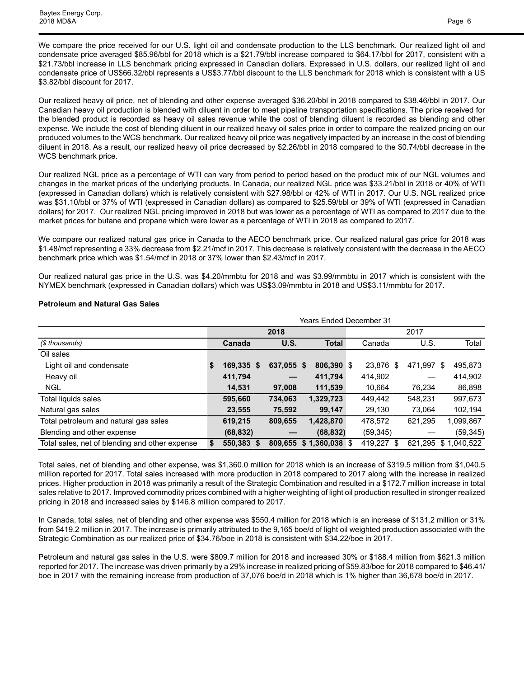We compare the price received for our U.S. light oil and condensate production to the LLS benchmark. Our realized light oil and condensate price averaged \$85.96/bbl for 2018 which is a \$21.79/bbl increase compared to \$64.17/bbl for 2017, consistent with a \$21.73/bbl increase in LLS benchmark pricing expressed in Canadian dollars. Expressed in U.S. dollars, our realized light oil and condensate price of US\$66.32/bbl represents a US\$3.77/bbl discount to the LLS benchmark for 2018 which is consistent with a US \$3.82/bbl discount for 2017.

Our realized heavy oil price, net of blending and other expense averaged \$36.20/bbl in 2018 compared to \$38.46/bbl in 2017. Our Canadian heavy oil production is blended with diluent in order to meet pipeline transportation specifications. The price received for the blended product is recorded as heavy oil sales revenue while the cost of blending diluent is recorded as blending and other expense. We include the cost of blending diluent in our realized heavy oil sales price in order to compare the realized pricing on our produced volumes to the WCS benchmark. Our realized heavy oil price was negatively impacted by an increase in the cost of blending diluent in 2018. As a result, our realized heavy oil price decreased by \$2.26/bbl in 2018 compared to the \$0.74/bbl decrease in the WCS benchmark price.

Our realized NGL price as a percentage of WTI can vary from period to period based on the product mix of our NGL volumes and changes in the market prices of the underlying products. In Canada, our realized NGL price was \$33.21/bbl in 2018 or 40% of WTI (expressed in Canadian dollars) which is relatively consistent with \$27.98/bbl or 42% of WTI in 2017. Our U.S. NGL realized price was \$31.10/bbl or 37% of WTI (expressed in Canadian dollars) as compared to \$25.59/bbl or 39% of WTI (expressed in Canadian dollars) for 2017. Our realized NGL pricing improved in 2018 but was lower as a percentage of WTI as compared to 2017 due to the market prices for butane and propane which were lower as a percentage of WTI in 2018 as compared to 2017.

We compare our realized natural gas price in Canada to the AECO benchmark price. Our realized natural gas price for 2018 was \$1.48/mcf representing a 33% decrease from \$2.21/mcf in 2017. This decrease is relatively consistent with the decrease in the AECO benchmark price which was \$1.54/mcf in 2018 or 37% lower than \$2.43/mcf in 2017.

Our realized natural gas price in the U.S. was \$4.20/mmbtu for 2018 and was \$3.99/mmbtu in 2017 which is consistent with the NYMEX benchmark (expressed in Canadian dollars) which was US\$3.09/mmbtu in 2018 and US\$3.11/mmbtu for 2017.

# **Petroleum and Natural Gas Sales**

|                                                | Years Ended December 31 |            |             |  |                 |  |                |            |             |
|------------------------------------------------|-------------------------|------------|-------------|--|-----------------|--|----------------|------------|-------------|
|                                                |                         | 2018       |             |  |                 |  |                |            |             |
| (\$ thousands)                                 |                         | Canada     | <b>U.S.</b> |  | <b>Total</b>    |  | Canada         | U.S.       | Total       |
| Oil sales                                      |                         |            |             |  |                 |  |                |            |             |
| Light oil and condensate                       | S                       | 169,335 \$ | 637,055 \$  |  | 806,390 \$      |  | 23.876 \$      | 471.997 \$ | 495,873     |
| Heavy oil                                      |                         | 411,794    |             |  | 411,794         |  | 414,902        |            | 414,902     |
| <b>NGL</b>                                     |                         | 14,531     | 97,008      |  | 111,539         |  | 10.664         | 76,234     | 86,898      |
| Total liquids sales                            |                         | 595,660    | 734,063     |  | 1,329,723       |  | 449.442        | 548,231    | 997,673     |
| Natural gas sales                              |                         | 23,555     | 75,592      |  | 99,147          |  | 29,130         | 73.064     | 102,194     |
| Total petroleum and natural gas sales          |                         | 619,215    | 809,655     |  | 1,428,870       |  | 478,572        | 621,295    | 1,099,867   |
| Blending and other expense                     |                         | (68, 832)  |             |  | (68, 832)       |  | (59, 345)      |            | (59, 345)   |
| Total sales, net of blending and other expense | S                       | 550.383 \$ | 809.655     |  | $$1,360,038$ \$ |  | 419.227<br>-\$ | 621.295    | \$1.040.522 |

Total sales, net of blending and other expense, was \$1,360.0 million for 2018 which is an increase of \$319.5 million from \$1,040.5 million reported for 2017. Total sales increased with more production in 2018 compared to 2017 along with the increase in realized prices. Higher production in 2018 was primarily a result of the Strategic Combination and resulted in a \$172.7 million increase in total sales relative to 2017. Improved commodity prices combined with a higher weighting of light oil production resulted in stronger realized pricing in 2018 and increased sales by \$146.8 million compared to 2017.

In Canada, total sales, net of blending and other expense was \$550.4 million for 2018 which is an increase of \$131.2 million or 31% from \$419.2 million in 2017. The increase is primarily attributed to the 9,165 boe/d of light oil weighted production associated with the Strategic Combination as our realized price of \$34.76/boe in 2018 is consistent with \$34.22/boe in 2017.

Petroleum and natural gas sales in the U.S. were \$809.7 million for 2018 and increased 30% or \$188.4 million from \$621.3 million reported for 2017. The increase was driven primarily by a 29% increase in realized pricing of \$59.83/boe for 2018 compared to \$46.41/ boe in 2017 with the remaining increase from production of 37,076 boe/d in 2018 which is 1% higher than 36,678 boe/d in 2017.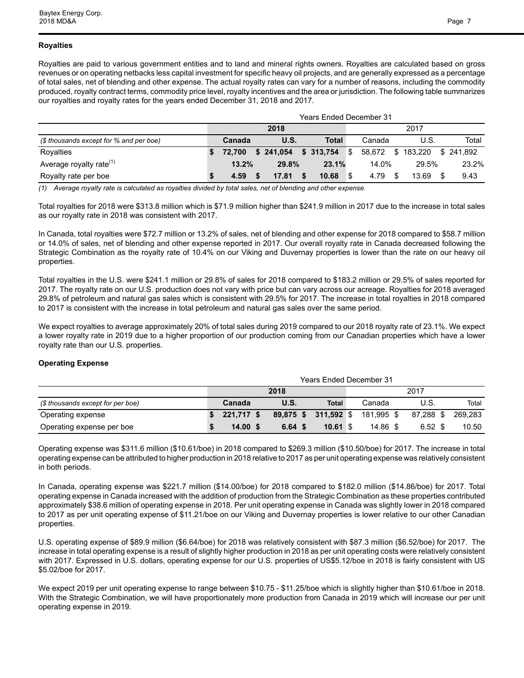## **Royalties**

Royalties are paid to various government entities and to land and mineral rights owners. Royalties are calculated based on gross revenues or on operating netbacks less capital investment for specific heavy oil projects, and are generally expressed as a percentage of total sales, net of blending and other expense. The actual royalty rates can vary for a number of reasons, including the commodity produced, royalty contract terms, commodity price level, royalty incentives and the area or jurisdiction. The following table summarizes our royalties and royalty rates for the years ended December 31, 2018 and 2017.

|                                         |        |           | <b>Years Ended December 31</b> |      |        |                   |           |
|-----------------------------------------|--------|-----------|--------------------------------|------|--------|-------------------|-----------|
|                                         |        | 2018      |                                |      |        | 2017              |           |
| (\$ thousands except for % and per boe) | Canada | U.S.      | <b>Total</b>                   |      | Canada | U.S.              | Total     |
| Rovalties                               | 72.700 | \$241,054 | $$313,754$ \$                  |      |        | 58,672 \$ 183,220 | \$241.892 |
| Average royalty rate <sup>(1)</sup>     | 13.2%  | 29.8%     | 23.1%                          |      | 14.0%  | 29.5%             | 23.2%     |
| Royalty rate per boe                    | 4.59   | 17.81     | \$<br>10.68                    | - \$ | 4.79   | 13.69             | 9.43      |

*(1) Average royalty rate is calculated as royalties divided by total sales, net of blending and other expense.* 

Total royalties for 2018 were \$313.8 million which is \$71.9 million higher than \$241.9 million in 2017 due to the increase in total sales as our royalty rate in 2018 was consistent with 2017.

In Canada, total royalties were \$72.7 million or 13.2% of sales, net of blending and other expense for 2018 compared to \$58.7 million or 14.0% of sales, net of blending and other expense reported in 2017. Our overall royalty rate in Canada decreased following the Strategic Combination as the royalty rate of 10.4% on our Viking and Duvernay properties is lower than the rate on our heavy oil properties.

Total royalties in the U.S. were \$241.1 million or 29.8% of sales for 2018 compared to \$183.2 million or 29.5% of sales reported for 2017. The royalty rate on our U.S. production does not vary with price but can vary across our acreage. Royalties for 2018 averaged 29.8% of petroleum and natural gas sales which is consistent with 29.5% for 2017. The increase in total royalties in 2018 compared to 2017 is consistent with the increase in total petroleum and natural gas sales over the same period.

We expect royalties to average approximately 20% of total sales during 2019 compared to our 2018 royalty rate of 23.1%. We expect a lower royalty rate in 2019 due to a higher proportion of our production coming from our Canadian properties which have a lower royalty rate than our U.S. properties.

## **Operating Expense**

|                                   | <b>Years Ended December 31</b> |  |             |  |                      |  |            |  |                   |         |
|-----------------------------------|--------------------------------|--|-------------|--|----------------------|--|------------|--|-------------------|---------|
|                                   |                                |  | 2018        |  |                      |  |            |  | 2017              |         |
| (\$ thousands except for per boe) | Canada                         |  | <b>U.S.</b> |  | <b>Total</b>         |  | Canada     |  | U.S.              | Total   |
| Operating expense                 | 221.717 \$                     |  |             |  | 89,875 \$ 311,592 \$ |  | 181,995 \$ |  | 87.288 \$         | 269.283 |
| Operating expense per boe         | 14.00 S                        |  | $6.64$ \$   |  | $10.61$ \$           |  | 14.86 \$   |  | $6.52 \text{ } $$ | 10.50   |

Operating expense was \$311.6 million (\$10.61/boe) in 2018 compared to \$269.3 million (\$10.50/boe) for 2017. The increase in total operating expense can be attributed to higher production in 2018 relative to 2017 as per unit operating expense was relatively consistent in both periods.

In Canada, operating expense was \$221.7 million (\$14.00/boe) for 2018 compared to \$182.0 million (\$14.86/boe) for 2017. Total operating expense in Canada increased with the addition of production from the Strategic Combination as these properties contributed approximately \$38.6 million of operating expense in 2018. Per unit operating expense in Canada was slightly lower in 2018 compared to 2017 as per unit operating expense of \$11.21/boe on our Viking and Duvernay properties is lower relative to our other Canadian properties.

U.S. operating expense of \$89.9 million (\$6.64/boe) for 2018 was relatively consistent with \$87.3 million (\$6.52/boe) for 2017. The increase in total operating expense is a result of slightly higher production in 2018 as per unit operating costs were relatively consistent with 2017. Expressed in U.S. dollars, operating expense for our U.S. properties of US\$5.12/boe in 2018 is fairly consistent with US \$5.02/boe for 2017.

We expect 2019 per unit operating expense to range between \$10.75 - \$11.25/boe which is slightly higher than \$10.61/boe in 2018. With the Strategic Combination, we will have proportionately more production from Canada in 2019 which will increase our per unit operating expense in 2019.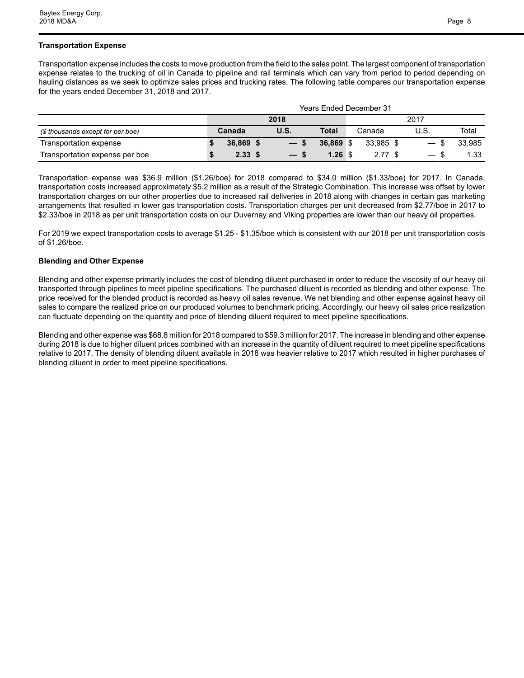# **Transportation Expense**

Transportation expense includes the costs to move production from the field to the sales point. The largest component of transportation expense relates to the trucking of oil in Canada to pipeline and rail terminals which can vary from period to period depending on hauling distances as we seek to optimize sales prices and trucking rates. The following table compares our transportation expense for the years ended December 31, 2018 and 2017.

|                                   | <b>Years Ended December 31</b> |  |             |              |  |           |  |        |        |
|-----------------------------------|--------------------------------|--|-------------|--------------|--|-----------|--|--------|--------|
|                                   |                                |  | 2018        |              |  |           |  | 2017   |        |
| (\$ thousands except for per boe) | Canada                         |  | <b>U.S.</b> | <b>Total</b> |  | Canada    |  | U.S.   | Total  |
| Transportation expense            | 36.869 \$                      |  | $-s$        | 36,869 \$    |  | 33.985 \$ |  | $-$ \$ | 33.985 |
| Transportation expense per boe    | 2.33 <sup>5</sup>              |  | $-$ s       | $1.26$ \$    |  | 2.77S     |  | $-$ \$ | 1.33   |

Transportation expense was \$36.9 million (\$1.26/boe) for 2018 compared to \$34.0 million (\$1.33/boe) for 2017. In Canada, transportation costs increased approximately \$5.2 million as a result of the Strategic Combination. This increase was offset by lower transportation charges on our other properties due to increased rail deliveries in 2018 along with changes in certain gas marketing arrangements that resulted in lower gas transportation costs. Transportation charges per unit decreased from \$2.77/boe in 2017 to \$2.33/boe in 2018 as per unit transportation costs on our Duvernay and Viking properties are lower than our heavy oil properties.

For 2019 we expect transportation costs to average \$1.25 - \$1.35/boe which is consistent with our 2018 per unit transportation costs of \$1.26/boe.

# **Blending and Other Expense**

Blending and other expense primarily includes the cost of blending diluent purchased in order to reduce the viscosity of our heavy oil transported through pipelines to meet pipeline specifications. The purchased diluent is recorded as blending and other expense. The price received for the blended product is recorded as heavy oil sales revenue. We net blending and other expense against heavy oil sales to compare the realized price on our produced volumes to benchmark pricing. Accordingly, our heavy oil sales price realization can fluctuate depending on the quantity and price of blending diluent required to meet pipeline specifications.

Blending and other expense was \$68.8 million for 2018 compared to \$59.3 million for 2017. The increase in blending and other expense during 2018 is due to higher diluent prices combined with an increase in the quantity of diluent required to meet pipeline specifications relative to 2017. The density of blending diluent available in 2018 was heavier relative to 2017 which resulted in higher purchases of blending diluent in order to meet pipeline specifications.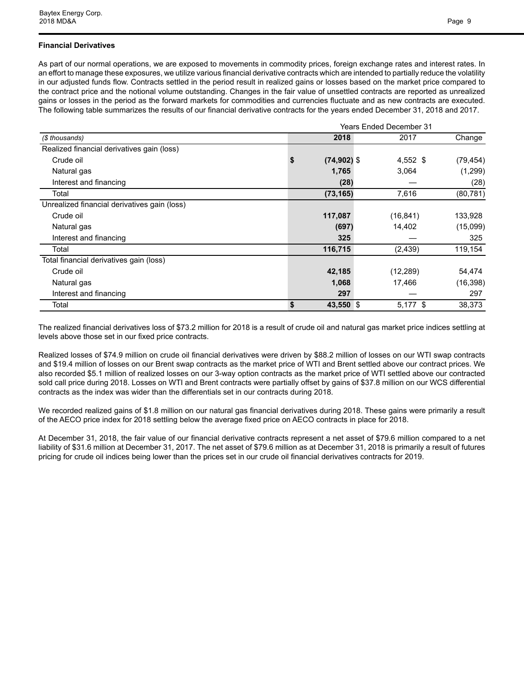# **Financial Derivatives**

As part of our normal operations, we are exposed to movements in commodity prices, foreign exchange rates and interest rates. In an effort to manage these exposures, we utilize various financial derivative contracts which are intended to partially reduce the volatility in our adjusted funds flow. Contracts settled in the period result in realized gains or losses based on the market price compared to the contract price and the notional volume outstanding. Changes in the fair value of unsettled contracts are reported as unrealized gains or losses in the period as the forward markets for commodities and currencies fluctuate and as new contracts are executed. The following table summarizes the results of our financial derivative contracts for the years ended December 31, 2018 and 2017.

|                                              | <b>Years Ended December 31</b> |               |            |           |  |  |  |  |  |
|----------------------------------------------|--------------------------------|---------------|------------|-----------|--|--|--|--|--|
| (\$ thousands)                               |                                | 2018          | 2017       | Change    |  |  |  |  |  |
| Realized financial derivatives gain (loss)   |                                |               |            |           |  |  |  |  |  |
| Crude oil                                    | \$                             | $(74,902)$ \$ | 4,552 \$   | (79, 454) |  |  |  |  |  |
| Natural gas                                  |                                | 1,765         | 3,064      | (1, 299)  |  |  |  |  |  |
| Interest and financing                       |                                | (28)          |            | (28)      |  |  |  |  |  |
| Total                                        |                                | (73, 165)     | 7,616      | (80, 781) |  |  |  |  |  |
| Unrealized financial derivatives gain (loss) |                                |               |            |           |  |  |  |  |  |
| Crude oil                                    |                                | 117,087       | (16, 841)  | 133,928   |  |  |  |  |  |
| Natural gas                                  |                                | (697)         | 14,402     | (15,099)  |  |  |  |  |  |
| Interest and financing                       |                                | 325           |            | 325       |  |  |  |  |  |
| Total                                        |                                | 116,715       | (2, 439)   | 119,154   |  |  |  |  |  |
| Total financial derivatives gain (loss)      |                                |               |            |           |  |  |  |  |  |
| Crude oil                                    |                                | 42,185        | (12, 289)  | 54,474    |  |  |  |  |  |
| Natural gas                                  |                                | 1,068         | 17,466     | (16, 398) |  |  |  |  |  |
| Interest and financing                       |                                | 297           |            | 297       |  |  |  |  |  |
| Total                                        | \$                             | 43,550 \$     | $5,177$ \$ | 38,373    |  |  |  |  |  |

The realized financial derivatives loss of \$73.2 million for 2018 is a result of crude oil and natural gas market price indices settling at levels above those set in our fixed price contracts.

Realized losses of \$74.9 million on crude oil financial derivatives were driven by \$88.2 million of losses on our WTI swap contracts and \$19.4 million of losses on our Brent swap contracts as the market price of WTI and Brent settled above our contract prices. We also recorded \$5.1 million of realized losses on our 3-way option contracts as the market price of WTI settled above our contracted sold call price during 2018. Losses on WTI and Brent contracts were partially offset by gains of \$37.8 million on our WCS differential contracts as the index was wider than the differentials set in our contracts during 2018.

We recorded realized gains of \$1.8 million on our natural gas financial derivatives during 2018. These gains were primarily a result of the AECO price index for 2018 settling below the average fixed price on AECO contracts in place for 2018.

At December 31, 2018, the fair value of our financial derivative contracts represent a net asset of \$79.6 million compared to a net liability of \$31.6 million at December 31, 2017. The net asset of \$79.6 million as at December 31, 2018 is primarily a result of futures pricing for crude oil indices being lower than the prices set in our crude oil financial derivatives contracts for 2019.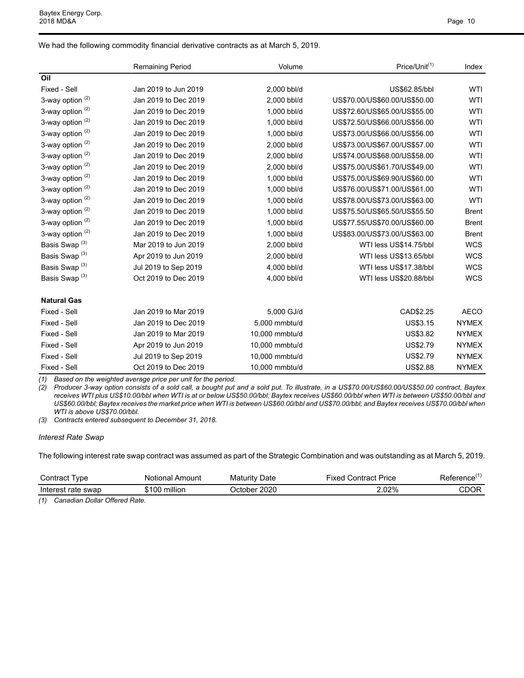We had the following commodity financial derivative contracts as at March 5, 2019.

|                             | <b>Remaining Period</b> | Volume         | Price/Unit <sup>(1)</sup>     | Index        |
|-----------------------------|-------------------------|----------------|-------------------------------|--------------|
| Oil                         |                         |                |                               |              |
| Fixed - Sell                | Jan 2019 to Jun 2019    | 2,000 bbl/d    | US\$62.85/bbl                 | <b>WTI</b>   |
| 3-way option (2)            | Jan 2019 to Dec 2019    | 2,000 bbl/d    | US\$70.00/US\$60.00/US\$50.00 | WTI          |
| 3-way option <sup>(2)</sup> | Jan 2019 to Dec 2019    | 1,000 bbl/d    | US\$72.60/US\$65.00/US\$55.00 | <b>WTI</b>   |
| 3-way option <sup>(2)</sup> | Jan 2019 to Dec 2019    | 1,000 bbl/d    | US\$72.50/US\$66.00/US\$56.00 | <b>WTI</b>   |
| 3-way option <sup>(2)</sup> | Jan 2019 to Dec 2019    | 1,000 bbl/d    | US\$73.00/US\$66.00/US\$56.00 | WTI          |
| 3-way option <sup>(2)</sup> | Jan 2019 to Dec 2019    | 2,000 bbl/d    | US\$73.00/US\$67.00/US\$57.00 | WTI          |
| 3-way option <sup>(2)</sup> | Jan 2019 to Dec 2019    | 2,000 bbl/d    | US\$74.00/US\$68.00/US\$58.00 | WTI          |
| 3-way option <sup>(2)</sup> | Jan 2019 to Dec 2019    | 2,000 bbl/d    | US\$75.00/US\$61.70/US\$49.00 | WTI          |
| 3-way option <sup>(2)</sup> | Jan 2019 to Dec 2019    | 1,000 bbl/d    | US\$75.00/US\$69.90/US\$60.00 | <b>WTI</b>   |
| 3-way option <sup>(2)</sup> | Jan 2019 to Dec 2019    | 1,000 bbl/d    | US\$76.00/US\$71.00/US\$61.00 | WTI          |
| 3-way option <sup>(2)</sup> | Jan 2019 to Dec 2019    | 1.000 bbl/d    | US\$78.00/US\$73.00/US\$63.00 | WTI          |
| 3-way option <sup>(2)</sup> | Jan 2019 to Dec 2019    | 1,000 bbl/d    | US\$75.50/US\$65.50/US\$55.50 | <b>Brent</b> |
| 3-way option <sup>(2)</sup> | Jan 2019 to Dec 2019    | 1.000 bbl/d    | US\$77.55/US\$70.00/US\$60.00 | <b>Brent</b> |
| 3-way option <sup>(2)</sup> | Jan 2019 to Dec 2019    | 1,000 bbl/d    | US\$83.00/US\$73.00/US\$63.00 | <b>Brent</b> |
| Basis Swap <sup>(3)</sup>   | Mar 2019 to Jun 2019    | 2,000 bbl/d    | WTI less US\$14.75/bbl        | <b>WCS</b>   |
| Basis Swap <sup>(3)</sup>   | Apr 2019 to Jun 2019    | 2,000 bbl/d    | WTI less US\$13.65/bbl        | <b>WCS</b>   |
| Basis Swap <sup>(3)</sup>   | Jul 2019 to Sep 2019    | 4,000 bbl/d    | WTI less US\$17.38/bbl        | <b>WCS</b>   |
| Basis Swap <sup>(3)</sup>   | Oct 2019 to Dec 2019    | 4,000 bbl/d    | WTI less US\$20.88/bbl        | <b>WCS</b>   |
| <b>Natural Gas</b>          |                         |                |                               |              |
| Fixed - Sell                | Jan 2019 to Mar 2019    | 5,000 GJ/d     | CAD\$2.25                     | <b>AECO</b>  |
| Fixed - Sell                | Jan 2019 to Dec 2019    | 5,000 mmbtu/d  | <b>US\$3.15</b>               | <b>NYMEX</b> |
| Fixed - Sell                | Jan 2019 to Mar 2019    | 10,000 mmbtu/d | <b>US\$3.82</b>               | <b>NYMEX</b> |
| Fixed - Sell                | Apr 2019 to Jun 2019    | 10,000 mmbtu/d | <b>US\$2.79</b>               | <b>NYMEX</b> |
|                             |                         |                |                               |              |
| Fixed - Sell                | Oct 2019 to Dec 2019    | 10,000 mmbtu/d | <b>US\$2.88</b>               | <b>NYMEX</b> |
| Fixed - Sell                | Jul 2019 to Sep 2019    | 10,000 mmbtu/d | <b>US\$2.79</b>               | <b>NYMEX</b> |

*(1) Based on the weighted average price per unit for the period.* 

*(2) Producer 3-way option consists of a sold call, a bought put and a sold put. To illustrate, in a US\$70.00/US\$60.00/US\$50.00 contract, Baytex receives WTI plus US\$10.00/bbl when WTI is at or below US\$50.00/bbl; Baytex receives US\$60.00/bbl when WTI is between US\$50.00/bbl and US\$60.00/bbl; Baytex receives the market price when WTI is between US\$60.00/bbl and US\$70.00/bbl; and Baytex receives US\$70.00/bbl when WTI is above US\$70.00/bbl.*

*(3) Contracts entered subsequent to December 31, 2018.*

#### *Interest Rate Swap*

The following interest rate swap contract was assumed as part of the Strategic Combination and was outstanding as at March 5, 2019.

| Contract<br><b>Type</b>                        | Notional Amount   | Date<br>Maturity   | <b>Fixec</b><br>Contract Price | ence |
|------------------------------------------------|-------------------|--------------------|--------------------------------|------|
| Interest rate swap                             | <br>00<br>million | 2020<br>√)ctober ′ | 2.02%                          | CDOR |
| $ -$<br>__ _<br>$\sim$ $\sim$<br>$\sim$ $\sim$ |                   |                    |                                |      |

*(1) Canadian Dollar Offered Rate.*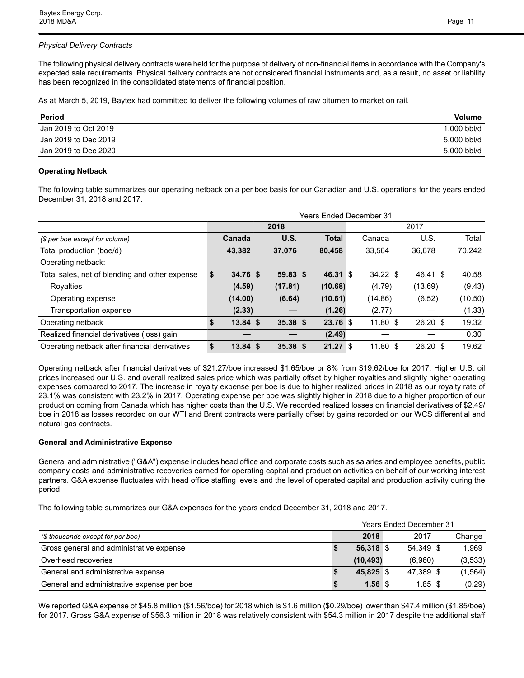# *Physical Delivery Contracts*

The following physical delivery contracts were held for the purpose of delivery of non-financial items in accordance with the Company's expected sale requirements. Physical delivery contracts are not considered financial instruments and, as a result, no asset or liability has been recognized in the consolidated statements of financial position.

As at March 5, 2019, Baytex had committed to deliver the following volumes of raw bitumen to market on rail.

| <b>Period</b>        | <b>Volume</b> |
|----------------------|---------------|
| Jan 2019 to Oct 2019 | $1.000$ bbl/d |
| Jan 2019 to Dec 2019 | 5,000 bbl/d   |
| Jan 2019 to Dec 2020 | 5,000 bbl/d   |

# **Operating Netback**

The following table summarizes our operating netback on a per boe basis for our Canadian and U.S. operations for the years ended December 31, 2018 and 2017.

|                                                | Years Ended December 31 |            |      |            |              |  |            |            |         |  |
|------------------------------------------------|-------------------------|------------|------|------------|--------------|--|------------|------------|---------|--|
|                                                |                         |            | 2018 |            | 2017         |  |            |            |         |  |
| (\$ per boe except for volume)                 |                         | Canada     |      | U.S.       | <b>Total</b> |  | Canada     | U.S.       | Total   |  |
| Total production (boe/d)                       |                         | 43,382     |      | 37,076     | 80.458       |  | 33.564     | 36.678     | 70.242  |  |
| Operating netback:                             |                         |            |      |            |              |  |            |            |         |  |
| Total sales, net of blending and other expense | \$                      | 34.76 \$   |      | 59.83 \$   | 46.31 \$     |  | $34.22$ \$ | 46.41 \$   | 40.58   |  |
| Rovalties                                      |                         | (4.59)     |      | (17.81)    | (10.68)      |  | (4.79)     | (13.69)    | (9.43)  |  |
| Operating expense                              |                         | (14.00)    |      | (6.64)     | (10.61)      |  | (14.86)    | (6.52)     | (10.50) |  |
| Transportation expense                         |                         | (2.33)     |      |            | (1.26)       |  | (2.77)     |            | (1.33)  |  |
| Operating netback                              | \$                      | $13.84$ \$ |      | $35.38$ \$ | 23.76 \$     |  | $11.80$ \$ | $26.20$ \$ | 19.32   |  |
| Realized financial derivatives (loss) gain     |                         |            |      |            | (2.49)       |  |            |            | 0.30    |  |
| Operating netback after financial derivatives  | \$                      | $13.84$ \$ |      | 35.38 S    | 21.27S       |  | $11.80$ \$ | $26.20$ \$ | 19.62   |  |

Operating netback after financial derivatives of \$21.27/boe increased \$1.65/boe or 8% from \$19.62/boe for 2017. Higher U.S. oil prices increased our U.S. and overall realized sales price which was partially offset by higher royalties and slightly higher operating expenses compared to 2017. The increase in royalty expense per boe is due to higher realized prices in 2018 as our royalty rate of 23.1% was consistent with 23.2% in 2017. Operating expense per boe was slightly higher in 2018 due to a higher proportion of our production coming from Canada which has higher costs than the U.S. We recorded realized losses on financial derivatives of \$2.49/ boe in 2018 as losses recorded on our WTI and Brent contracts were partially offset by gains recorded on our WCS differential and natural gas contracts.

# **General and Administrative Expense**

General and administrative ("G&A") expense includes head office and corporate costs such as salaries and employee benefits, public company costs and administrative recoveries earned for operating capital and production activities on behalf of our working interest partners. G&A expense fluctuates with head office staffing levels and the level of operated capital and production activity during the period.

The following table summarizes our G&A expenses for the years ended December 31, 2018 and 2017.

|                                            |  | <b>Years Ended December 31</b> |           |          |
|--------------------------------------------|--|--------------------------------|-----------|----------|
| (\$ thousands except for per boe)          |  | 2018                           | 2017      | Change   |
| Gross general and administrative expense   |  | 56.318 \$                      | 54.349 \$ | 1.969    |
| Overhead recoveries                        |  | (10.493)                       | (6,960)   | (3,533)  |
| General and administrative expense         |  | 45.825 \$                      | 47,389 \$ | (1, 564) |
| General and administrative expense per boe |  | 1.56 <sup>5</sup>              | $1.85$ \$ | (0.29)   |

We reported G&A expense of \$45.8 million (\$1.56/boe) for 2018 which is \$1.6 million (\$0.29/boe) lower than \$47.4 million (\$1.85/boe) for 2017. Gross G&A expense of \$56.3 million in 2018 was relatively consistent with \$54.3 million in 2017 despite the additional staff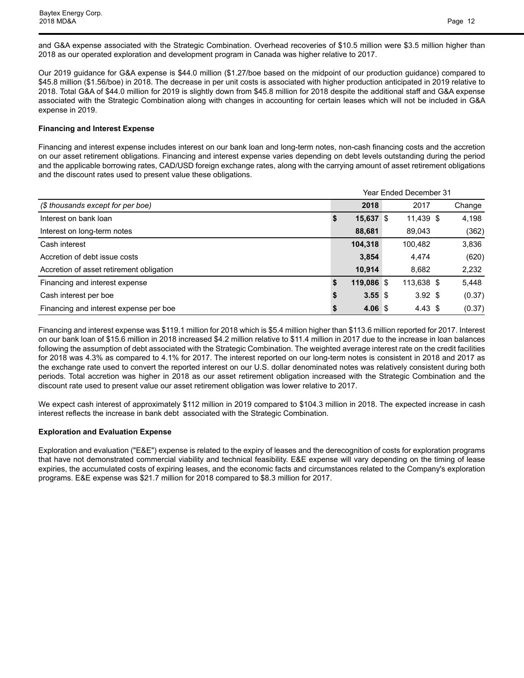and G&A expense associated with the Strategic Combination. Overhead recoveries of \$10.5 million were \$3.5 million higher than 2018 as our operated exploration and development program in Canada was higher relative to 2017.

Our 2019 guidance for G&A expense is \$44.0 million (\$1.27/boe based on the midpoint of our production guidance) compared to \$45.8 million (\$1.56/boe) in 2018. The decrease in per unit costs is associated with higher production anticipated in 2019 relative to 2018. Total G&A of \$44.0 million for 2019 is slightly down from \$45.8 million for 2018 despite the additional staff and G&A expense associated with the Strategic Combination along with changes in accounting for certain leases which will not be included in G&A expense in 2019.

## **Financing and Interest Expense**

Financing and interest expense includes interest on our bank loan and long-term notes, non-cash financing costs and the accretion on our asset retirement obligations. Financing and interest expense varies depending on debt levels outstanding during the period and the applicable borrowing rates, CAD/USD foreign exchange rates, along with the carrying amount of asset retirement obligations and the discount rates used to present value these obligations.

|                                          |    | Year Ended December 31 |                   |  |        |
|------------------------------------------|----|------------------------|-------------------|--|--------|
| (\$ thousands except for per boe)        |    | 2018                   | 2017              |  | Change |
| Interest on bank loan                    | \$ | 15,637 \$              | $11,439$ \$       |  | 4,198  |
| Interest on long-term notes              |    | 88,681                 | 89,043            |  | (362)  |
| Cash interest                            |    | 104,318                | 100,482           |  | 3,836  |
| Accretion of debt issue costs            |    | 3,854                  | 4,474             |  | (620)  |
| Accretion of asset retirement obligation |    | 10,914                 | 8,682             |  | 2,232  |
| Financing and interest expense           | S  | 119,086 \$             | 113,638 \$        |  | 5,448  |
| Cash interest per boe                    | \$ | $3.55$ \$              | $3.92$ \$         |  | (0.37) |
| Financing and interest expense per boe   | S  | 4.06 <sup>°</sup>      | $4.43 \text{ } $$ |  | (0.37) |

Financing and interest expense was \$119.1 million for 2018 which is \$5.4 million higher than \$113.6 million reported for 2017. Interest on our bank loan of \$15.6 million in 2018 increased \$4.2 million relative to \$11.4 million in 2017 due to the increase in loan balances following the assumption of debt associated with the Strategic Combination. The weighted average interest rate on the credit facilities for 2018 was 4.3% as compared to 4.1% for 2017. The interest reported on our long-term notes is consistent in 2018 and 2017 as the exchange rate used to convert the reported interest on our U.S. dollar denominated notes was relatively consistent during both periods. Total accretion was higher in 2018 as our asset retirement obligation increased with the Strategic Combination and the discount rate used to present value our asset retirement obligation was lower relative to 2017.

We expect cash interest of approximately \$112 million in 2019 compared to \$104.3 million in 2018. The expected increase in cash interest reflects the increase in bank debt associated with the Strategic Combination.

# **Exploration and Evaluation Expense**

Exploration and evaluation ("E&E") expense is related to the expiry of leases and the derecognition of costs for exploration programs that have not demonstrated commercial viability and technical feasibility. E&E expense will vary depending on the timing of lease expiries, the accumulated costs of expiring leases, and the economic facts and circumstances related to the Company's exploration programs. E&E expense was \$21.7 million for 2018 compared to \$8.3 million for 2017.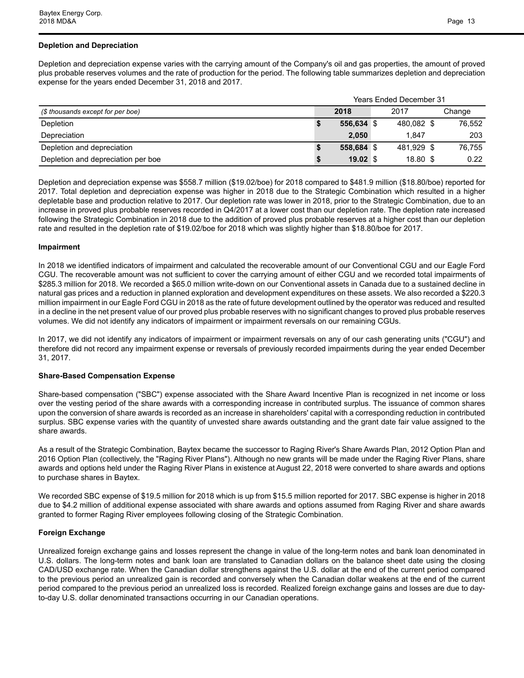# **Depletion and Depreciation**

Depletion and depreciation expense varies with the carrying amount of the Company's oil and gas properties, the amount of proved plus probable reserves volumes and the rate of production for the period. The following table summarizes depletion and depreciation expense for the years ended December 31, 2018 and 2017.

|                                    |            | <b>Years Ended December 31</b> |  |        |
|------------------------------------|------------|--------------------------------|--|--------|
| (\$ thousands except for per boe)  | 2018       | 2017                           |  | Change |
| Depletion                          | 556.634 \$ | 480,082 \$                     |  | 76.552 |
| Depreciation                       | 2.050      | 1.847                          |  | 203    |
| Depletion and depreciation         | 558.684 \$ | 481.929 \$                     |  | 76.755 |
| Depletion and depreciation per boe | $19.02$ \$ | 18.80 \$                       |  | 0.22   |

Depletion and depreciation expense was \$558.7 million (\$19.02/boe) for 2018 compared to \$481.9 million (\$18.80/boe) reported for 2017. Total depletion and depreciation expense was higher in 2018 due to the Strategic Combination which resulted in a higher depletable base and production relative to 2017. Our depletion rate was lower in 2018, prior to the Strategic Combination, due to an increase in proved plus probable reserves recorded in Q4/2017 at a lower cost than our depletion rate. The depletion rate increased following the Strategic Combination in 2018 due to the addition of proved plus probable reserves at a higher cost than our depletion rate and resulted in the depletion rate of \$19.02/boe for 2018 which was slightly higher than \$18.80/boe for 2017.

## **Impairment**

In 2018 we identified indicators of impairment and calculated the recoverable amount of our Conventional CGU and our Eagle Ford CGU. The recoverable amount was not sufficient to cover the carrying amount of either CGU and we recorded total impairments of \$285.3 million for 2018. We recorded a \$65.0 million write-down on our Conventional assets in Canada due to a sustained decline in natural gas prices and a reduction in planned exploration and development expenditures on these assets. We also recorded a \$220.3 million impairment in our Eagle Ford CGU in 2018 as the rate of future development outlined by the operator was reduced and resulted in a decline in the net present value of our proved plus probable reserves with no significant changes to proved plus probable reserves volumes. We did not identify any indicators of impairment or impairment reversals on our remaining CGUs.

In 2017, we did not identify any indicators of impairment or impairment reversals on any of our cash generating units ("CGU") and therefore did not record any impairment expense or reversals of previously recorded impairments during the year ended December 31, 2017.

## **Share-Based Compensation Expense**

Share-based compensation ("SBC") expense associated with the Share Award Incentive Plan is recognized in net income or loss over the vesting period of the share awards with a corresponding increase in contributed surplus. The issuance of common shares upon the conversion of share awards is recorded as an increase in shareholders' capital with a corresponding reduction in contributed surplus. SBC expense varies with the quantity of unvested share awards outstanding and the grant date fair value assigned to the share awards.

As a result of the Strategic Combination, Baytex became the successor to Raging River's Share Awards Plan, 2012 Option Plan and 2016 Option Plan (collectively, the "Raging River Plans"). Although no new grants will be made under the Raging River Plans, share awards and options held under the Raging River Plans in existence at August 22, 2018 were converted to share awards and options to purchase shares in Baytex.

We recorded SBC expense of \$19.5 million for 2018 which is up from \$15.5 million reported for 2017. SBC expense is higher in 2018 due to \$4.2 million of additional expense associated with share awards and options assumed from Raging River and share awards granted to former Raging River employees following closing of the Strategic Combination.

# **Foreign Exchange**

Unrealized foreign exchange gains and losses represent the change in value of the long-term notes and bank loan denominated in U.S. dollars. The long-term notes and bank loan are translated to Canadian dollars on the balance sheet date using the closing CAD/USD exchange rate. When the Canadian dollar strengthens against the U.S. dollar at the end of the current period compared to the previous period an unrealized gain is recorded and conversely when the Canadian dollar weakens at the end of the current period compared to the previous period an unrealized loss is recorded. Realized foreign exchange gains and losses are due to dayto-day U.S. dollar denominated transactions occurring in our Canadian operations.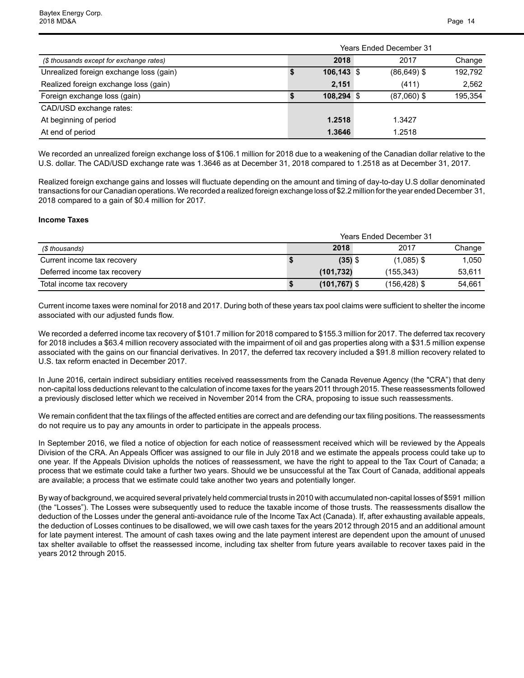|                                          | Years Ended December 31 |               |  |                |         |  |  |  |  |
|------------------------------------------|-------------------------|---------------|--|----------------|---------|--|--|--|--|
| (\$ thousands except for exchange rates) |                         | 2018          |  | 2017           | Change  |  |  |  |  |
| Unrealized foreign exchange loss (gain)  |                         | $106, 143$ \$ |  | $(86, 649)$ \$ | 192,792 |  |  |  |  |
| Realized foreign exchange loss (gain)    |                         | 2,151         |  | (411)          | 2,562   |  |  |  |  |
| Foreign exchange loss (gain)             |                         | $108,294$ \$  |  | $(87,060)$ \$  | 195,354 |  |  |  |  |
| CAD/USD exchange rates:                  |                         |               |  |                |         |  |  |  |  |
| At beginning of period                   |                         | 1.2518        |  | 1.3427         |         |  |  |  |  |
| At end of period                         |                         | 1.3646        |  | 1.2518         |         |  |  |  |  |

We recorded an unrealized foreign exchange loss of \$106.1 million for 2018 due to a weakening of the Canadian dollar relative to the U.S. dollar. The CAD/USD exchange rate was 1.3646 as at December 31, 2018 compared to 1.2518 as at December 31, 2017.

Realized foreign exchange gains and losses will fluctuate depending on the amount and timing of day-to-day U.S dollar denominated transactions for our Canadian operations. We recorded a realized foreign exchange loss of \$2.2 million for the year ended December 31, 2018 compared to a gain of \$0.4 million for 2017.

## **Income Taxes**

|                              | <b>Years Ended December 31</b> |                 |                 |        |  |  |  |
|------------------------------|--------------------------------|-----------------|-----------------|--------|--|--|--|
| (\$ thousands)               |                                | 2018            | 2017            | Change |  |  |  |
| Current income tax recovery  |                                | $(35)$ \$       | $(1,085)$ \$    | 1.050  |  |  |  |
| Deferred income tax recovery |                                | (101, 732)      | (155.343)       | 53,611 |  |  |  |
| Total income tax recovery    |                                | $(101, 767)$ \$ | $(156, 428)$ \$ | 54,661 |  |  |  |

Current income taxes were nominal for 2018 and 2017. During both of these years tax pool claims were sufficient to shelter the income associated with our adjusted funds flow.

We recorded a deferred income tax recovery of \$101.7 million for 2018 compared to \$155.3 million for 2017. The deferred tax recovery for 2018 includes a \$63.4 million recovery associated with the impairment of oil and gas properties along with a \$31.5 million expense associated with the gains on our financial derivatives. In 2017, the deferred tax recovery included a \$91.8 million recovery related to U.S. tax reform enacted in December 2017.

In June 2016, certain indirect subsidiary entities received reassessments from the Canada Revenue Agency (the "CRA") that deny non-capital loss deductions relevant to the calculation of income taxes for the years 2011 through 2015. These reassessments followed a previously disclosed letter which we received in November 2014 from the CRA, proposing to issue such reassessments.

We remain confident that the tax filings of the affected entities are correct and are defending our tax filing positions. The reassessments do not require us to pay any amounts in order to participate in the appeals process.

In September 2016, we filed a notice of objection for each notice of reassessment received which will be reviewed by the Appeals Division of the CRA. An Appeals Officer was assigned to our file in July 2018 and we estimate the appeals process could take up to one year. If the Appeals Division upholds the notices of reassessment, we have the right to appeal to the Tax Court of Canada; a process that we estimate could take a further two years. Should we be unsuccessful at the Tax Court of Canada, additional appeals are available; a process that we estimate could take another two years and potentially longer.

By way of background, we acquired several privately held commercial trusts in 2010 with accumulated non-capital losses of \$591 million (the "Losses"). The Losses were subsequently used to reduce the taxable income of those trusts. The reassessments disallow the deduction of the Losses under the general anti-avoidance rule of the Income Tax Act (Canada). If, after exhausting available appeals, the deduction of Losses continues to be disallowed, we will owe cash taxes for the years 2012 through 2015 and an additional amount for late payment interest. The amount of cash taxes owing and the late payment interest are dependent upon the amount of unused tax shelter available to offset the reassessed income, including tax shelter from future years available to recover taxes paid in the years 2012 through 2015.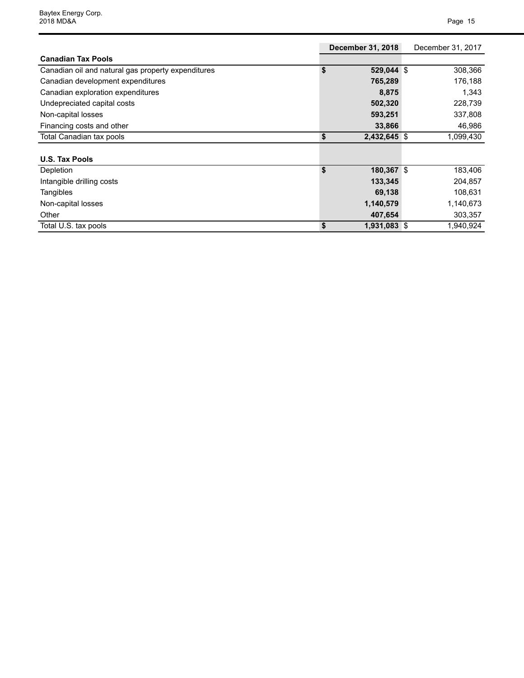|                                                    | <b>December 31, 2018</b> | December 31, 2017 |
|----------------------------------------------------|--------------------------|-------------------|
| <b>Canadian Tax Pools</b>                          |                          |                   |
| Canadian oil and natural gas property expenditures | \$<br>529,044 \$         | 308,366           |
| Canadian development expenditures                  | 765,289                  | 176,188           |
| Canadian exploration expenditures                  | 8,875                    | 1,343             |
| Undepreciated capital costs                        | 502,320                  | 228,739           |
| Non-capital losses                                 | 593,251                  | 337,808           |
| Financing costs and other                          | 33,866                   | 46,986            |
| Total Canadian tax pools                           | \$<br>2,432,645 \$       | 1,099,430         |
|                                                    |                          |                   |
| <b>U.S. Tax Pools</b>                              |                          |                   |
| Depletion                                          | \$<br>$180,367$ \$       | 183,406           |
| Intangible drilling costs                          | 133,345                  | 204,857           |
| Tangibles                                          | 69,138                   | 108,631           |
| Non-capital losses                                 | 1,140,579                | 1,140,673         |
| Other                                              | 407,654                  | 303,357           |
| Total U.S. tax pools                               | \$<br>1,931,083 \$       | 1,940,924         |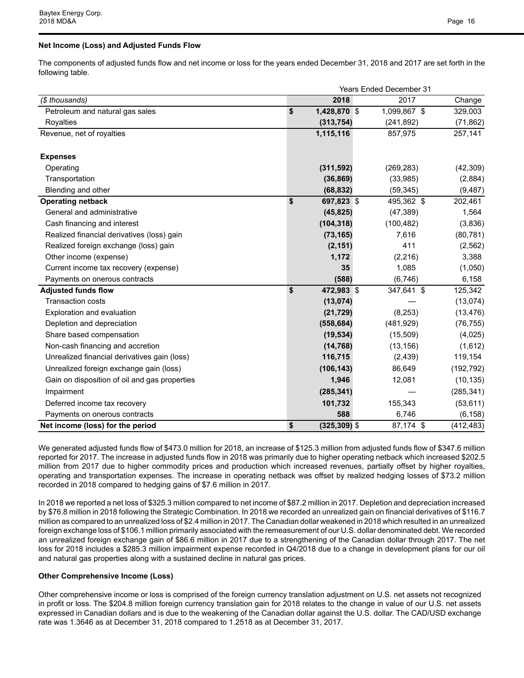# **Net Income (Loss) and Adjusted Funds Flow**

The components of adjusted funds flow and net income or loss for the years ended December 31, 2018 and 2017 are set forth in the following table.

|                                               |                       | <b>Years Ended December 31</b> |            |
|-----------------------------------------------|-----------------------|--------------------------------|------------|
| (\$ thousands)                                | 2018                  | 2017                           | Change     |
| Petroleum and natural gas sales               | \$<br>1,428,870 \$    | 1,099,867 \$                   | 329,003    |
| <b>Royalties</b>                              | (313, 754)            | (241, 892)                     | (71, 862)  |
| Revenue, net of royalties                     | 1,115,116             | 857,975                        | 257,141    |
| <b>Expenses</b>                               |                       |                                |            |
| Operating                                     | (311, 592)            | (269, 283)                     | (42, 309)  |
| Transportation                                | (36, 869)             | (33,985)                       | (2,884)    |
| Blending and other                            | (68, 832)             | (59, 345)                      | (9, 487)   |
| <b>Operating netback</b>                      | \$<br>697,823 \$      | 495,362 \$                     | 202,461    |
| General and administrative                    | (45, 825)             | (47, 389)                      | 1,564      |
| Cash financing and interest                   | (104, 318)            | (100, 482)                     | (3,836)    |
| Realized financial derivatives (loss) gain    | (73, 165)             | 7,616                          | (80, 781)  |
| Realized foreign exchange (loss) gain         | (2, 151)              | 411                            | (2, 562)   |
| Other income (expense)                        | 1,172                 | (2, 216)                       | 3,388      |
| Current income tax recovery (expense)         | 35                    | 1,085                          | (1,050)    |
| Payments on onerous contracts                 | (588)                 | (6,746)                        | 6,158      |
| <b>Adjusted funds flow</b>                    | \$<br>472,983 \$      | 347,641 \$                     | 125,342    |
| <b>Transaction costs</b>                      | (13,074)              |                                | (13,074)   |
| Exploration and evaluation                    | (21, 729)             | (8, 253)                       | (13, 476)  |
| Depletion and depreciation                    | (558, 684)            | (481, 929)                     | (76, 755)  |
| Share based compensation                      | (19, 534)             | (15,509)                       | (4,025)    |
| Non-cash financing and accretion              | (14, 768)             | (13, 156)                      | (1,612)    |
| Unrealized financial derivatives gain (loss)  | 116,715               | (2, 439)                       | 119,154    |
| Unrealized foreign exchange gain (loss)       | (106, 143)            | 86,649                         | (192, 792) |
| Gain on disposition of oil and gas properties | 1,946                 | 12,081                         | (10, 135)  |
| Impairment                                    | (285, 341)            |                                | (285, 341) |
| Deferred income tax recovery                  | 101,732               | 155,343                        | (53, 611)  |
| Payments on onerous contracts                 | 588                   | 6,746                          | (6, 158)   |
| Net income (loss) for the period              | \$<br>$(325, 309)$ \$ | 87,174 \$                      | (412, 483) |

We generated adjusted funds flow of \$473.0 million for 2018, an increase of \$125.3 million from adjusted funds flow of \$347.6 million reported for 2017. The increase in adjusted funds flow in 2018 was primarily due to higher operating netback which increased \$202.5 million from 2017 due to higher commodity prices and production which increased revenues, partially offset by higher royalties, operating and transportation expenses. The increase in operating netback was offset by realized hedging losses of \$73.2 million recorded in 2018 compared to hedging gains of \$7.6 million in 2017.

In 2018 we reported a net loss of \$325.3 million compared to net income of \$87.2 million in 2017. Depletion and depreciation increased by \$76.8 million in 2018 following the Strategic Combination. In 2018 we recorded an unrealized gain on financial derivatives of \$116.7 million as compared to an unrealized loss of \$2.4 million in 2017. The Canadian dollar weakened in 2018 which resulted in an unrealized foreign exchange loss of \$106.1 million primarily associated with the remeasurement of our U.S. dollar denominated debt. We recorded an unrealized foreign exchange gain of \$86.6 million in 2017 due to a strengthening of the Canadian dollar through 2017. The net loss for 2018 includes a \$285.3 million impairment expense recorded in Q4/2018 due to a change in development plans for our oil and natural gas properties along with a sustained decline in natural gas prices.

## **Other Comprehensive Income (Loss)**

Other comprehensive income or loss is comprised of the foreign currency translation adjustment on U.S. net assets not recognized in profit or loss. The \$204.8 million foreign currency translation gain for 2018 relates to the change in value of our U.S. net assets expressed in Canadian dollars and is due to the weakening of the Canadian dollar against the U.S. dollar. The CAD/USD exchange rate was 1.3646 as at December 31, 2018 compared to 1.2518 as at December 31, 2017.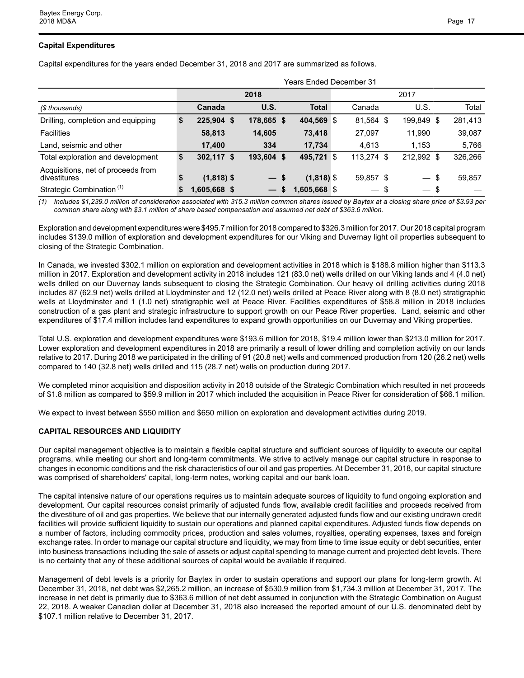# **Capital Expenditures**

Capital expenditures for the years ended December 31, 2018 and 2017 are summarized as follows.

|                                                    |    | Years Ended December 31 |                          |   |              |    |            |  |            |         |  |  |
|----------------------------------------------------|----|-------------------------|--------------------------|---|--------------|----|------------|--|------------|---------|--|--|
|                                                    |    | 2018                    |                          |   |              |    | 2017       |  |            |         |  |  |
| (\$ thousands)                                     |    | Canada                  | U.S.                     |   | <b>Total</b> |    | Canada     |  | U.S.       | Total   |  |  |
| Drilling, completion and equipping                 | \$ | 225,904 \$              | 178,665 \$               |   | 404,569 \$   |    | 81.564 \$  |  | 199,849 \$ | 281,413 |  |  |
| <b>Facilities</b>                                  |    | 58,813                  | 14.605                   |   | 73.418       |    | 27.097     |  | 11.990     | 39,087  |  |  |
| Land, seismic and other                            |    | 17.400                  | 334                      |   | 17,734       |    | 4.613      |  | 1.153      | 5,766   |  |  |
| Total exploration and development                  | \$ | 302,117 \$              | 193,604 \$               |   | 495,721      | ∎Տ | 113.274 \$ |  | 212,992 \$ | 326,266 |  |  |
| Acquisitions, net of proceeds from<br>divestitures | \$ | $(1,818)$ \$            | $-5$                     |   | $(1,818)$ \$ |    | 59,857 \$  |  | $-$ \$     | 59,857  |  |  |
| Strategic Combination <sup>(1)</sup>               | S. | 1,605,668 \$            | $\overline{\phantom{0}}$ | S | 1,605,668 \$ |    | $-$ \$     |  | $-$ \$     |         |  |  |

*(1) Includes \$1,239.0 million of consideration associated with 315.3 million common shares issued by Baytex at a closing share price of \$3.93 per common share along with \$3.1 million of share based compensation and assumed net debt of \$363.6 million.*

Exploration and development expenditures were \$495.7 million for 2018 compared to \$326.3 million for 2017. Our 2018 capital program includes \$139.0 million of exploration and development expenditures for our Viking and Duvernay light oil properties subsequent to closing of the Strategic Combination.

In Canada, we invested \$302.1 million on exploration and development activities in 2018 which is \$188.8 million higher than \$113.3 million in 2017. Exploration and development activity in 2018 includes 121 (83.0 net) wells drilled on our Viking lands and 4 (4.0 net) wells drilled on our Duvernay lands subsequent to closing the Strategic Combination. Our heavy oil drilling activities during 2018 includes 87 (62.9 net) wells drilled at Lloydminster and 12 (12.0 net) wells drilled at Peace River along with 8 (8.0 net) stratigraphic wells at Lloydminster and 1 (1.0 net) stratigraphic well at Peace River. Facilities expenditures of \$58.8 million in 2018 includes construction of a gas plant and strategic infrastructure to support growth on our Peace River properties. Land, seismic and other expenditures of \$17.4 million includes land expenditures to expand growth opportunities on our Duvernay and Viking properties.

Total U.S. exploration and development expenditures were \$193.6 million for 2018, \$19.4 million lower than \$213.0 million for 2017. Lower exploration and development expenditures in 2018 are primarily a result of lower drilling and completion activity on our lands relative to 2017. During 2018 we participated in the drilling of 91 (20.8 net) wells and commenced production from 120 (26.2 net) wells compared to 140 (32.8 net) wells drilled and 115 (28.7 net) wells on production during 2017.

We completed minor acquisition and disposition activity in 2018 outside of the Strategic Combination which resulted in net proceeds of \$1.8 million as compared to \$59.9 million in 2017 which included the acquisition in Peace River for consideration of \$66.1 million.

We expect to invest between \$550 million and \$650 million on exploration and development activities during 2019.

## **CAPITAL RESOURCES AND LIQUIDITY**

Our capital management objective is to maintain a flexible capital structure and sufficient sources of liquidity to execute our capital programs, while meeting our short and long-term commitments. We strive to actively manage our capital structure in response to changes in economic conditions and the risk characteristics of our oil and gas properties. At December 31, 2018, our capital structure was comprised of shareholders' capital, long-term notes, working capital and our bank loan.

The capital intensive nature of our operations requires us to maintain adequate sources of liquidity to fund ongoing exploration and development. Our capital resources consist primarily of adjusted funds flow, available credit facilities and proceeds received from the divestiture of oil and gas properties. We believe that our internally generated adjusted funds flow and our existing undrawn credit facilities will provide sufficient liquidity to sustain our operations and planned capital expenditures. Adjusted funds flow depends on a number of factors, including commodity prices, production and sales volumes, royalties, operating expenses, taxes and foreign exchange rates. In order to manage our capital structure and liquidity, we may from time to time issue equity or debt securities, enter into business transactions including the sale of assets or adjust capital spending to manage current and projected debt levels. There is no certainty that any of these additional sources of capital would be available if required.

Management of debt levels is a priority for Baytex in order to sustain operations and support our plans for long-term growth. At December 31, 2018, net debt was \$2,265.2 million, an increase of \$530.9 million from \$1,734.3 million at December 31, 2017. The increase in net debt is primarily due to \$363.6 million of net debt assumed in conjunction with the Strategic Combination on August 22, 2018. A weaker Canadian dollar at December 31, 2018 also increased the reported amount of our U.S. denominated debt by \$107.1 million relative to December 31, 2017.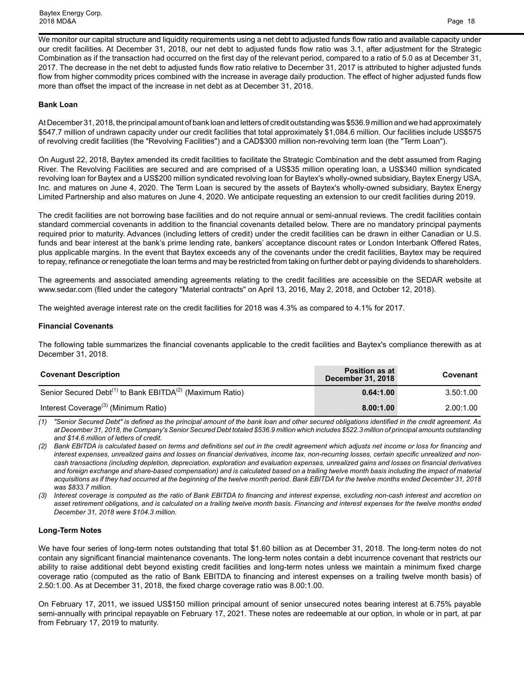We monitor our capital structure and liquidity requirements using a net debt to adjusted funds flow ratio and available capacity under our credit facilities. At December 31, 2018, our net debt to adjusted funds flow ratio was 3.1, after adjustment for the Strategic Combination as if the transaction had occurred on the first day of the relevant period, compared to a ratio of 5.0 as at December 31, 2017. The decrease in the net debt to adjusted funds flow ratio relative to December 31, 2017 is attributed to higher adjusted funds flow from higher commodity prices combined with the increase in average daily production. The effect of higher adjusted funds flow more than offset the impact of the increase in net debt as at December 31, 2018.

#### **Bank Loan**

At December 31, 2018, the principal amount of bank loan and letters of credit outstanding was \$536.9 million and we had approximately \$547.7 million of undrawn capacity under our credit facilities that total approximately \$1,084.6 million. Our facilities include US\$575 of revolving credit facilities (the "Revolving Facilities") and a CAD\$300 million non-revolving term loan (the "Term Loan").

On August 22, 2018, Baytex amended its credit facilities to facilitate the Strategic Combination and the debt assumed from Raging River. The Revolving Facilities are secured and are comprised of a US\$35 million operating loan, a US\$340 million syndicated revolving loan for Baytex and a US\$200 million syndicated revolving loan for Baytex's wholly-owned subsidiary, Baytex Energy USA, Inc. and matures on June 4, 2020. The Term Loan is secured by the assets of Baytex's wholly-owned subsidiary, Baytex Energy Limited Partnership and also matures on June 4, 2020. We anticipate requesting an extension to our credit facilities during 2019.

The credit facilities are not borrowing base facilities and do not require annual or semi-annual reviews. The credit facilities contain standard commercial covenants in addition to the financial covenants detailed below. There are no mandatory principal payments required prior to maturity. Advances (including letters of credit) under the credit facilities can be drawn in either Canadian or U.S. funds and bear interest at the bank's prime lending rate, bankers' acceptance discount rates or London Interbank Offered Rates, plus applicable margins. In the event that Baytex exceeds any of the covenants under the credit facilities, Baytex may be required to repay, refinance or renegotiate the loan terms and may be restricted from taking on further debt or paying dividends to shareholders.

The agreements and associated amending agreements relating to the credit facilities are accessible on the SEDAR website at www.sedar.com (filed under the category "Material contracts" on April 13, 2016, May 2, 2018, and October 12, 2018).

The weighted average interest rate on the credit facilities for 2018 was 4.3% as compared to 4.1% for 2017.

#### **Financial Covenants**

The following table summarizes the financial covenants applicable to the credit facilities and Baytex's compliance therewith as at December 31, 2018.

| <b>Covenant Description</b>                                                      | <b>Position as at</b><br><b>December 31, 2018</b> | Covenant  |
|----------------------------------------------------------------------------------|---------------------------------------------------|-----------|
| Senior Secured Debt <sup>(1)</sup> to Bank EBITDA <sup>(2)</sup> (Maximum Ratio) | 0.64:1.00                                         | 3.50:1.00 |
| Interest Coverage <sup>(3)</sup> (Minimum Ratio)                                 | 8.00:1.00                                         | 2.00:1.00 |

*(1) "Senior Secured Debt" is defined as the principal amount of the bank loan and other secured obligations identified in the credit agreement. As at December 31, 2018, the Company's Senior Secured Debt totaled \$536.9 million which includes \$522.3 million of principal amounts outstanding and \$14.6 million of letters of credit.*

- *(2) Bank EBITDA is calculated based on terms and definitions set out in the credit agreement which adjusts net income or loss for financing and interest expenses, unrealized gains and losses on financial derivatives, income tax, non-recurring losses, certain specific unrealized and noncash transactions (including depletion, depreciation, exploration and evaluation expenses, unrealized gains and losses on financial derivatives*  and foreign exchange and share-based compensation) and is calculated based on a trailing twelve month basis including the impact of material *acquisitions as if they had occurred at the beginning of the twelve month period. Bank EBITDA for the twelve months ended December 31, 2018 was \$833.7 million.*
- *(3) Interest coverage is computed as the ratio of Bank EBITDA to financing and interest expense, excluding non-cash interest and accretion on asset retirement obligations, and is calculated on a trailing twelve month basis. Financing and interest expenses for the twelve months ended December 31, 2018 were \$104.3 million.*

## **Long-Term Notes**

We have four series of long-term notes outstanding that total \$1.60 billion as at December 31, 2018. The long-term notes do not contain any significant financial maintenance covenants. The long-term notes contain a debt incurrence covenant that restricts our ability to raise additional debt beyond existing credit facilities and long-term notes unless we maintain a minimum fixed charge coverage ratio (computed as the ratio of Bank EBITDA to financing and interest expenses on a trailing twelve month basis) of 2.50:1.00. As at December 31, 2018, the fixed charge coverage ratio was 8.00:1.00.

On February 17, 2011, we issued US\$150 million principal amount of senior unsecured notes bearing interest at 6.75% payable semi-annually with principal repayable on February 17, 2021. These notes are redeemable at our option, in whole or in part, at par from February 17, 2019 to maturity.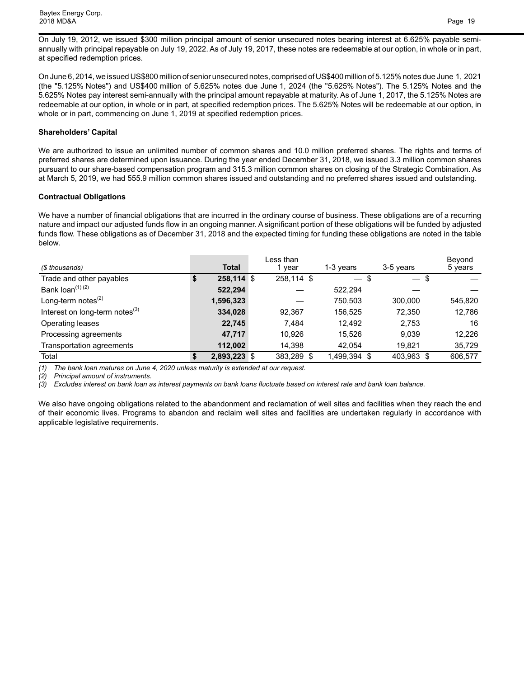On July 19, 2012, we issued \$300 million principal amount of senior unsecured notes bearing interest at 6.625% payable semiannually with principal repayable on July 19, 2022. As of July 19, 2017, these notes are redeemable at our option, in whole or in part, at specified redemption prices.

On June 6, 2014, we issued US\$800 million of senior unsecured notes, comprised of US\$400 million of 5.125% notes due June 1, 2021 (the "5.125% Notes") and US\$400 million of 5.625% notes due June 1, 2024 (the "5.625% Notes"). The 5.125% Notes and the 5.625% Notes pay interest semi-annually with the principal amount repayable at maturity. As of June 1, 2017, the 5.125% Notes are redeemable at our option, in whole or in part, at specified redemption prices. The 5.625% Notes will be redeemable at our option, in whole or in part, commencing on June 1, 2019 at specified redemption prices.

#### **Shareholders' Capital**

We are authorized to issue an unlimited number of common shares and 10.0 million preferred shares. The rights and terms of preferred shares are determined upon issuance. During the year ended December 31, 2018, we issued 3.3 million common shares pursuant to our share-based compensation program and 315.3 million common shares on closing of the Strategic Combination. As at March 5, 2019, we had 555.9 million common shares issued and outstanding and no preferred shares issued and outstanding.

#### **Contractual Obligations**

We have a number of financial obligations that are incurred in the ordinary course of business. These obligations are of a recurring nature and impact our adjusted funds flow in an ongoing manner. A significant portion of these obligations will be funded by adjusted funds flow. These obligations as of December 31, 2018 and the expected timing for funding these obligations are noted in the table below.

| (\$ thousands)                             | <b>Total</b>       | Less than<br>vear | 1-3 years    | 3-5 years  | Beyond<br>5 years |
|--------------------------------------------|--------------------|-------------------|--------------|------------|-------------------|
| Trade and other payables                   | \$<br>$258,114$ \$ | 258,114 \$        | $-$ \$       | $-$ \$     |                   |
| Bank loan <sup>(1) (2)</sup>               | 522,294            |                   | 522,294      |            |                   |
| Long-term notes $(2)$                      | 1,596,323          |                   | 750,503      | 300.000    | 545,820           |
| Interest on long-term notes <sup>(3)</sup> | 334,028            | 92.367            | 156,525      | 72.350     | 12.786            |
| Operating leases                           | 22,745             | 7.484             | 12.492       | 2,753      | 16                |
| Processing agreements                      | 47.717             | 10.926            | 15.526       | 9.039      | 12,226            |
| Transportation agreements                  | 112,002            | 14.398            | 42.054       | 19.821     | 35,729            |
| Total                                      | \$<br>2,893,223 \$ | 383,289 \$        | 1,499,394 \$ | 403,963 \$ | 606,577           |

*(1) The bank loan matures on June 4, 2020 unless maturity is extended at our request.*

*(2) Principal amount of instruments.* 

*(3) Excludes interest on bank loan as interest payments on bank loans fluctuate based on interest rate and bank loan balance.*

We also have ongoing obligations related to the abandonment and reclamation of well sites and facilities when they reach the end of their economic lives. Programs to abandon and reclaim well sites and facilities are undertaken regularly in accordance with applicable legislative requirements.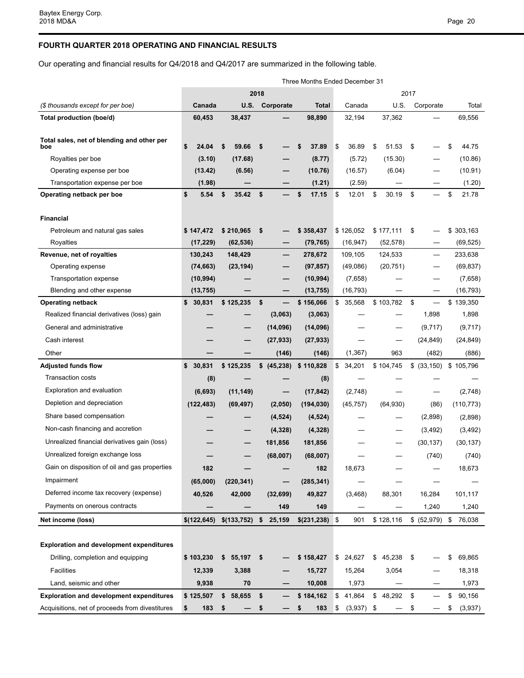Our operating and financial results for Q4/2018 and Q4/2017 are summarized in the following table.

|                                                   |              |              |              | Three Months Ended December 31 |                    |              |                        |               |
|---------------------------------------------------|--------------|--------------|--------------|--------------------------------|--------------------|--------------|------------------------|---------------|
|                                                   |              |              | 2018         |                                |                    |              |                        |               |
| (\$ thousands except for per boe)                 | Canada       | U.S.         | Corporate    | Total                          | Canada             | U.S.         | Corporate              | Total         |
| Total production (boe/d)                          | 60,453       | 38,437       |              | 98,890                         | 32,194             | 37,362       |                        | 69,556        |
|                                                   |              |              |              |                                |                    |              |                        |               |
| Total sales, net of blending and other per<br>boe | \$<br>24.04  | 59.66<br>\$  | \$           | 37.89                          | \$<br>36.89        | 51.53<br>\$  | \$                     | \$<br>44.75   |
| Royalties per boe                                 | (3.10)       | (17.68)      |              | (8.77)                         | (5.72)             | (15.30)      |                        | (10.86)       |
| Operating expense per boe                         | (13.42)      | (6.56)       |              | (10.76)                        | (16.57)            | (6.04)       |                        | (10.91)       |
| Transportation expense per boe                    | (1.98)       |              |              | (1.21)                         | (2.59)             |              |                        | (1.20)        |
| Operating netback per boe                         | \$<br>5.54   | \$<br>35.42  | \$           | \$<br>17.15                    | 12.01<br>\$        | \$<br>30.19  | \$                     | \$<br>21.78   |
|                                                   |              |              |              |                                |                    |              |                        |               |
| <b>Financial</b>                                  |              |              |              |                                |                    |              |                        |               |
| Petroleum and natural gas sales                   | \$147,472    | \$210,965    | \$           | \$358,437                      | \$126,052          | \$177,111    | \$                     | \$303,163     |
| Royalties                                         | (17, 229)    | (62, 536)    |              | (79, 765)                      | (16, 947)          | (52, 578)    |                        | (69, 525)     |
| Revenue, net of royalties                         | 130,243      | 148,429      |              | 278,672                        | 109,105            | 124,533      | $\qquad \qquad \qquad$ | 233,638       |
| Operating expense                                 | (74, 663)    | (23, 194)    |              | (97, 857)                      | (49,086)           | (20, 751)    |                        | (69, 837)     |
| Transportation expense                            | (10, 994)    |              |              | (10, 994)                      | (7,658)            |              |                        | (7,658)       |
| Blending and other expense                        | (13, 755)    |              |              | (13, 755)                      | (16, 793)          |              |                        | (16, 793)     |
| <b>Operating netback</b>                          | 30,831<br>\$ | \$125,235    | \$           | \$156,066                      | \$<br>35,568       | \$103,782    | \$                     | \$139,350     |
| Realized financial derivatives (loss) gain        |              |              | (3,063)      | (3,063)                        |                    |              | 1,898                  | 1,898         |
| General and administrative                        |              |              | (14,096)     | (14,096)                       |                    |              | (9,717)                | (9,717)       |
| Cash interest                                     |              |              | (27, 933)    | (27, 933)                      |                    |              | (24, 849)              | (24, 849)     |
| Other                                             |              |              | (146)        | (146)                          | (1, 367)           | 963          | (482)                  | (886)         |
| <b>Adjusted funds flow</b>                        | 30,831<br>\$ | \$125,235    | \$ (45,238)  | \$110,828                      | \$<br>34,201       | \$104,745    | \$ (33, 150)           | \$105,796     |
| <b>Transaction costs</b>                          | (8)          |              |              | (8)                            |                    |              |                        |               |
| Exploration and evaluation                        | (6, 693)     | (11, 149)    |              | (17, 842)                      | (2,748)            |              |                        | (2,748)       |
| Depletion and depreciation                        | (122, 483)   | (69, 497)    | (2,050)      | (194, 030)                     | (45, 757)          | (64, 930)    | (86)                   | (110, 773)    |
| Share based compensation                          |              |              | (4, 524)     | (4, 524)                       |                    |              | (2,898)                | (2,898)       |
| Non-cash financing and accretion                  |              |              | (4, 328)     | (4, 328)                       |                    |              | (3,492)                | (3,492)       |
| Unrealized financial derivatives gain (loss)      |              |              | 181,856      | 181,856                        |                    |              | (30, 137)              | (30, 137)     |
| Unrealized foreign exchange loss                  |              |              | (68,007)     | (68,007)                       |                    |              | (740)                  | (740)         |
| Gain on disposition of oil and gas properties     | 182          |              |              | 182                            | 18,673             |              |                        | 18,673        |
| Impairment                                        | (65,000)     | (220, 341)   |              | (285, 341)                     |                    |              |                        |               |
| Deferred income tax recovery (expense)            | 40,526       | 42,000       | (32, 699)    | 49,827                         | (3, 468)           | 88,301       | 16,284                 | 101,117       |
| Payments on onerous contracts                     |              |              | 149          | 149                            |                    |              | 1,240                  | 1,240         |
| Net income (loss)                                 | \$(122,645)  | \$(133,752)  | \$<br>25,159 | $$(231,238)$ \,                | 901                | \$128,116    | \$ (52,979)            | \$<br>76,038  |
|                                                   |              |              |              |                                |                    |              |                        |               |
| <b>Exploration and development expenditures</b>   |              |              |              |                                |                    |              |                        |               |
| Drilling, completion and equipping                | \$103,230    | 55,197<br>\$ | \$           | \$158,427                      | \$24,627           | 45,238<br>\$ | \$                     | 69,865<br>\$  |
| <b>Facilities</b>                                 | 12,339       | 3,388        |              | 15,727                         | 15,264             | 3,054        |                        | 18,318        |
| Land, seismic and other                           | 9,938        | 70           |              | 10,008                         | 1,973              |              |                        | 1,973         |
| <b>Exploration and development expenditures</b>   | \$125,507    | \$58,655     | \$           | \$184,162                      | \$<br>41,864       | \$48,292     | \$                     | \$<br>90,156  |
| Acquisitions, net of proceeds from divestitures   | \$<br>183    | \$           | 5            | 183                            | $(3,937)$ \$<br>\$ |              | \$                     | \$<br>(3,937) |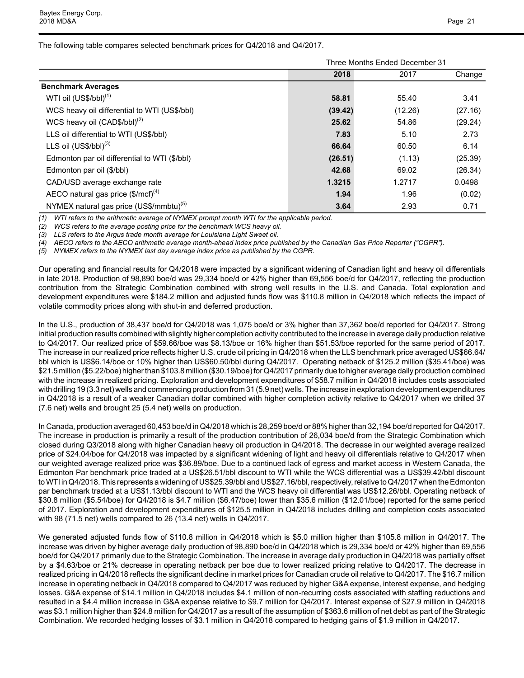The following table compares selected benchmark prices for Q4/2018 and Q4/2017.

|                                                        | Three Months Ended December 31 |         |         |  |  |  |  |
|--------------------------------------------------------|--------------------------------|---------|---------|--|--|--|--|
|                                                        | 2018                           | 2017    | Change  |  |  |  |  |
| <b>Benchmark Averages</b>                              |                                |         |         |  |  |  |  |
| WTI oil (US\$/bbl) <sup>(1)</sup>                      | 58.81                          | 55.40   | 3.41    |  |  |  |  |
| WCS heavy oil differential to WTI (US\$/bbl)           | (39.42)                        | (12.26) | (27.16) |  |  |  |  |
| WCS heavy oil $(CAD$/bbI)^{(2)}$                       | 25.62                          | 54.86   | (29.24) |  |  |  |  |
| LLS oil differential to WTI (US\$/bbl)                 | 7.83                           | 5.10    | 2.73    |  |  |  |  |
| LLS oil $(US$/bbI)^{(3)}$                              | 66.64                          | 60.50   | 6.14    |  |  |  |  |
| Edmonton par oil differential to WTI (\$/bbl)          | (26.51)                        | (1.13)  | (25.39) |  |  |  |  |
| Edmonton par oil (\$/bbl)                              | 42.68                          | 69.02   | (26.34) |  |  |  |  |
| CAD/USD average exchange rate                          | 1.3215                         | 1.2717  | 0.0498  |  |  |  |  |
| AECO natural gas price $(\text{$\text{S/mcf}$})^{(4)}$ | 1.94                           | 1.96    | (0.02)  |  |  |  |  |
| NYMEX natural gas price (US\$/mmbtu) <sup>(5)</sup>    | 3.64                           | 2.93    | 0.71    |  |  |  |  |

*(1) WTI refers to the arithmetic average of NYMEX prompt month WTI for the applicable period.* 

*(2) WCS refers to the average posting price for the benchmark WCS heavy oil.* 

*(3) LLS refers to the Argus trade month average for Louisiana Light Sweet oil.*

*(4) AECO refers to the AECO arithmetic average month-ahead index price published by the Canadian Gas Price Reporter ("CGPR").*

*(5) NYMEX refers to the NYMEX last day average index price as published by the CGPR.*

Our operating and financial results for Q4/2018 were impacted by a significant widening of Canadian light and heavy oil differentials in late 2018. Production of 98,890 boe/d was 29,334 boe/d or 42% higher than 69,556 boe/d for Q4/2017, reflecting the production contribution from the Strategic Combination combined with strong well results in the U.S. and Canada. Total exploration and development expenditures were \$184.2 million and adjusted funds flow was \$110.8 million in Q4/2018 which reflects the impact of volatile commodity prices along with shut-in and deferred production.

In the U.S., production of 38,437 boe/d for Q4/2018 was 1,075 boe/d or 3% higher than 37,362 boe/d reported for Q4/2017. Strong initial production results combined with slightly higher completion activity contributed to the increase in average daily production relative to Q4/2017. Our realized price of \$59.66/boe was \$8.13/boe or 16% higher than \$51.53/boe reported for the same period of 2017. The increase in our realized price reflects higher U.S. crude oil pricing in Q4/2018 when the LLS benchmark price averaged US\$66.64/ bbl which is US\$6.14/boe or 10% higher than US\$60.50/bbl during Q4/2017. Operating netback of \$125.2 million (\$35.41/boe) was \$21.5 million (\$5.22/boe) higher than \$103.8 million (\$30.19/boe) for Q4/2017 primarily due to higher average daily production combined with the increase in realized pricing. Exploration and development expenditures of \$58.7 million in Q4/2018 includes costs associated with drilling 19 (3.3 net) wells and commencing production from 31 (5.9 net) wells. The increase in exploration development expenditures in Q4/2018 is a result of a weaker Canadian dollar combined with higher completion activity relative to Q4/2017 when we drilled 37 (7.6 net) wells and brought 25 (5.4 net) wells on production.

In Canada, production averaged 60,453 boe/d in Q4/2018 which is 28,259 boe/d or 88% higher than 32,194 boe/d reported for Q4/2017. The increase in production is primarily a result of the production contribution of 26,034 boe/d from the Strategic Combination which closed during Q3/2018 along with higher Canadian heavy oil production in Q4/2018. The decrease in our weighted average realized price of \$24.04/boe for Q4/2018 was impacted by a significant widening of light and heavy oil differentials relative to Q4/2017 when our weighted average realized price was \$36.89/boe. Due to a continued lack of egress and market access in Western Canada, the Edmonton Par benchmark price traded at a US\$26.51/bbl discount to WTI while the WCS differential was a US\$39.42/bbl discount to WTI in Q4/2018. This represents a widening of US\$25.39/bbl and US\$27.16/bbl, respectively, relative to Q4/2017 when the Edmonton par benchmark traded at a US\$1.13/bbl discount to WTI and the WCS heavy oil differential was US\$12.26/bbl. Operating netback of \$30.8 million (\$5.54/boe) for Q4/2018 is \$4.7 million (\$6.47/boe) lower than \$35.6 million (\$12.01/boe) reported for the same period of 2017. Exploration and development expenditures of \$125.5 million in Q4/2018 includes drilling and completion costs associated with 98 (71.5 net) wells compared to 26 (13.4 net) wells in Q4/2017.

We generated adjusted funds flow of \$110.8 million in Q4/2018 which is \$5.0 million higher than \$105.8 million in Q4/2017. The increase was driven by higher average daily production of 98,890 boe/d in Q4/2018 which is 29,334 boe/d or 42% higher than 69,556 boe/d for Q4/2017 primarily due to the Strategic Combination. The increase in average daily production in Q4/2018 was partially offset by a \$4.63/boe or 21% decrease in operating netback per boe due to lower realized pricing relative to Q4/2017. The decrease in realized pricing in Q4/2018 reflects the significant decline in market prices for Canadian crude oil relative to Q4/2017. The \$16.7 million increase in operating netback in Q4/2018 compared to Q4/2017 was reduced by higher G&A expense, interest expense, and hedging losses. G&A expense of \$14.1 million in Q4/2018 includes \$4.1 million of non-recurring costs associated with staffing reductions and resulted in a \$4.4 million increase in G&A expense relative to \$9.7 million for Q4/2017. Interest expense of \$27.9 million in Q4/2018 was \$3.1 million higher than \$24.8 million for Q4/2017 as a result of the assumption of \$363.6 million of net debt as part of the Strategic Combination. We recorded hedging losses of \$3.1 million in Q4/2018 compared to hedging gains of \$1.9 million in Q4/2017.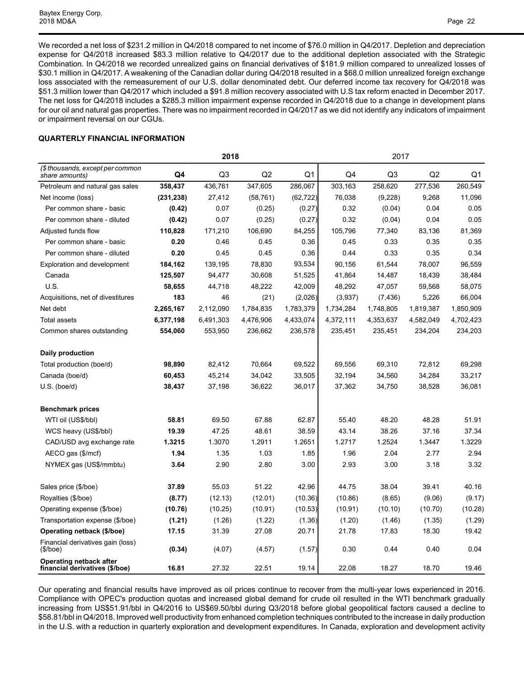Baytex Energy Corp. 2018 MD&A Page 22

We recorded a net loss of \$231.2 million in Q4/2018 compared to net income of \$76.0 million in Q4/2017. Depletion and depreciation expense for Q4/2018 increased \$83.3 million relative to Q4/2017 due to the additional depletion associated with the Strategic Combination. In Q4/2018 we recorded unrealized gains on financial derivatives of \$181.9 million compared to unrealized losses of \$30.1 million in Q4/2017. A weakening of the Canadian dollar during Q4/2018 resulted in a \$68.0 million unrealized foreign exchange loss associated with the remeasurement of our U.S. dollar denominated debt. Our deferred income tax recovery for Q4/2018 was \$51.3 million lower than Q4/2017 which included a \$91.8 million recovery associated with U.S tax reform enacted in December 2017. The net loss for Q4/2018 includes a \$285.3 million impairment expense recorded in Q4/2018 due to a change in development plans for our oil and natural gas properties. There was no impairment recorded in Q4/2017 as we did not identify any indicators of impairment or impairment reversal on our CGUs.

#### **QUARTERLY FINANCIAL INFORMATION**

|                                                           |            | 2018      |           |           |           |                |                |           |
|-----------------------------------------------------------|------------|-----------|-----------|-----------|-----------|----------------|----------------|-----------|
| (\$thousands, except per common<br>share amounts)         | Q4         | Q3        | Q2        | Q1        | Q4        | Q <sub>3</sub> | Q <sub>2</sub> | Q1        |
| Petroleum and natural gas sales                           | 358,437    | 436,761   | 347,605   | 286,067   | 303,163   | 258,620        | 277,536        | 260,549   |
| Net income (loss)                                         | (231, 238) | 27,412    | (58, 761) | (62, 722) | 76,038    | (9,228)        | 9,268          | 11,096    |
| Per common share - basic                                  | (0.42)     | 0.07      | (0.25)    | (0.27)    | 0.32      | (0.04)         | 0.04           | 0.05      |
| Per common share - diluted                                | (0.42)     | 0.07      | (0.25)    | (0.27)    | 0.32      | (0.04)         | 0.04           | 0.05      |
| Adjusted funds flow                                       | 110,828    | 171,210   | 106,690   | 84,255    | 105,796   | 77,340         | 83,136         | 81,369    |
| Per common share - basic                                  | 0.20       | 0.46      | 0.45      | 0.36      | 0.45      | 0.33           | 0.35           | 0.35      |
| Per common share - diluted                                | 0.20       | 0.45      | 0.45      | 0.36      | 0.44      | 0.33           | 0.35           | 0.34      |
| <b>Exploration and development</b>                        | 184,162    | 139,195   | 78,830    | 93.534    | 90,156    | 61.544         | 78,007         | 96,559    |
| Canada                                                    | 125,507    | 94,477    | 30,608    | 51,525    | 41,864    | 14,487         | 18,439         | 38,484    |
| U.S.                                                      | 58,655     | 44,718    | 48,222    | 42,009    | 48,292    | 47,057         | 59,568         | 58,075    |
| Acquisitions, net of divestitures                         | 183        | 46        | (21)      | (2,026)   | (3,937)   | (7, 436)       | 5,226          | 66,004    |
| Net debt                                                  | 2,265,167  | 2,112,090 | 1,784,835 | 1,783,379 | 1,734,284 | 1,748,805      | 1,819,387      | 1,850,909 |
| <b>Total assets</b>                                       | 6,377,198  | 6,491,303 | 4,476,906 | 4,433,074 | 4,372,111 | 4,353,637      | 4,582,049      | 4,702,423 |
| Common shares outstanding                                 | 554,060    | 553,950   | 236,662   | 236,578   | 235,451   | 235,451        | 234,204        | 234,203   |
| Daily production                                          |            |           |           |           |           |                |                |           |
| Total production (boe/d)                                  | 98,890     | 82,412    | 70,664    | 69,522    | 69,556    | 69,310         | 72,812         | 69,298    |
| Canada (boe/d)                                            | 60,453     | 45,214    | 34,042    | 33,505    | 32,194    | 34,560         | 34,284         | 33,217    |
| $U.S.$ (boe/d)                                            | 38,437     | 37,198    | 36,622    | 36,017    | 37,362    | 34,750         | 38,528         | 36,081    |
| <b>Benchmark prices</b>                                   |            |           |           |           |           |                |                |           |
| WTI oil (US\$/bbl)                                        | 58.81      | 69.50     | 67.88     | 62.87     | 55.40     | 48.20          | 48.28          | 51.91     |
| WCS heavy (US\$/bbl)                                      | 19.39      | 47.25     | 48.61     | 38.59     | 43.14     | 38.26          | 37.16          | 37.34     |
| CAD/USD avg exchange rate                                 | 1.3215     | 1.3070    | 1.2911    | 1.2651    | 1.2717    | 1.2524         | 1.3447         | 1.3229    |
| AECO gas (\$/mcf)                                         | 1.94       | 1.35      | 1.03      | 1.85      | 1.96      | 2.04           | 2.77           | 2.94      |
| NYMEX gas (US\$/mmbtu)                                    | 3.64       | 2.90      | 2.80      | 3.00      | 2.93      | 3.00           | 3.18           | 3.32      |
| Sales price (\$/boe)                                      | 37.89      | 55.03     | 51.22     | 42.96     | 44.75     | 38.04          | 39.41          | 40.16     |
| Royalties (\$/boe)                                        | (8.77)     | (12.13)   | (12.01)   | (10.36)   | (10.86)   | (8.65)         | (9.06)         | (9.17)    |
| Operating expense (\$/boe)                                | (10.76)    | (10.25)   | (10.91)   | (10.53)   | (10.91)   | (10.10)        | (10.70)        | (10.28)   |
| Transportation expense (\$/boe)                           | (1.21)     | (1.26)    | (1.22)    | (1.36)    | (1.20)    | (1.46)         | (1.35)         | (1.29)    |
| Operating netback (\$/boe)                                | 17.15      | 31.39     | 27.08     | 20.71     | 21.78     | 17.83          | 18.30          | 19.42     |
| Financial derivatives gain (loss)<br>(\$/boe)             | (0.34)     | (4.07)    | (4.57)    | (1.57)    | 0.30      | 0.44           | 0.40           | 0.04      |
| Operating netback after<br>financial derivatives (\$/boe) | 16.81      | 27.32     | 22.51     | 19.14     | 22.08     | 18.27          | 18.70          | 19.46     |

Our operating and financial results have improved as oil prices continue to recover from the multi-year lows experienced in 2016. Compliance with OPEC's production quotas and increased global demand for crude oil resulted in the WTI benchmark gradually increasing from US\$51.91/bbl in Q4/2016 to US\$69.50/bbl during Q3/2018 before global geopolitical factors caused a decline to \$58.81/bbl in Q4/2018. Improved well productivity from enhanced completion techniques contributed to the increase in daily production in the U.S. with a reduction in quarterly exploration and development expenditures. In Canada, exploration and development activity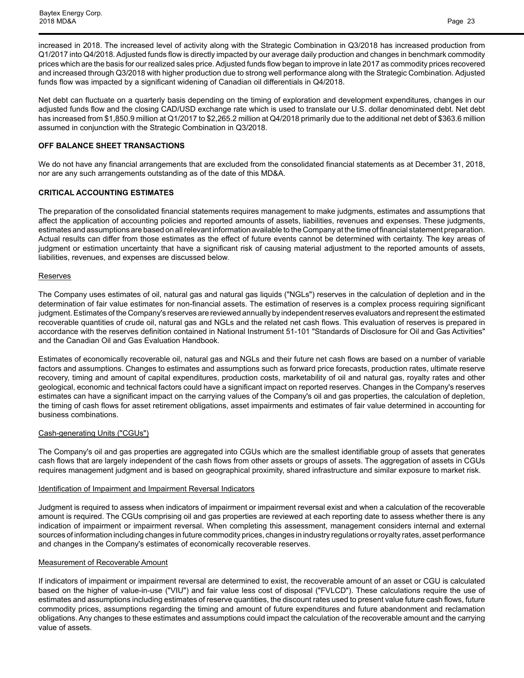increased in 2018. The increased level of activity along with the Strategic Combination in Q3/2018 has increased production from Q1/2017 into Q4/2018. Adjusted funds flow is directly impacted by our average daily production and changes in benchmark commodity prices which are the basis for our realized sales price. Adjusted funds flow began to improve in late 2017 as commodity prices recovered and increased through Q3/2018 with higher production due to strong well performance along with the Strategic Combination. Adjusted funds flow was impacted by a significant widening of Canadian oil differentials in Q4/2018.

Net debt can fluctuate on a quarterly basis depending on the timing of exploration and development expenditures, changes in our adjusted funds flow and the closing CAD/USD exchange rate which is used to translate our U.S. dollar denominated debt. Net debt has increased from \$1,850.9 million at Q1/2017 to \$2,265.2 million at Q4/2018 primarily due to the additional net debt of \$363.6 million assumed in conjunction with the Strategic Combination in Q3/2018.

# **OFF BALANCE SHEET TRANSACTIONS**

We do not have any financial arrangements that are excluded from the consolidated financial statements as at December 31, 2018, nor are any such arrangements outstanding as of the date of this MD&A.

# **CRITICAL ACCOUNTING ESTIMATES**

The preparation of the consolidated financial statements requires management to make judgments, estimates and assumptions that affect the application of accounting policies and reported amounts of assets, liabilities, revenues and expenses. These judgments, estimates and assumptions are based on all relevant information available to the Company at the time of financial statement preparation. Actual results can differ from those estimates as the effect of future events cannot be determined with certainty. The key areas of judgment or estimation uncertainty that have a significant risk of causing material adjustment to the reported amounts of assets, liabilities, revenues, and expenses are discussed below.

# Reserves

The Company uses estimates of oil, natural gas and natural gas liquids ("NGLs") reserves in the calculation of depletion and in the determination of fair value estimates for non-financial assets. The estimation of reserves is a complex process requiring significant judgment. Estimates of the Company's reserves are reviewed annually by independent reserves evaluators and represent the estimated recoverable quantities of crude oil, natural gas and NGLs and the related net cash flows. This evaluation of reserves is prepared in accordance with the reserves definition contained in National Instrument 51-101 "Standards of Disclosure for Oil and Gas Activities" and the Canadian Oil and Gas Evaluation Handbook.

Estimates of economically recoverable oil, natural gas and NGLs and their future net cash flows are based on a number of variable factors and assumptions. Changes to estimates and assumptions such as forward price forecasts, production rates, ultimate reserve recovery, timing and amount of capital expenditures, production costs, marketability of oil and natural gas, royalty rates and other geological, economic and technical factors could have a significant impact on reported reserves. Changes in the Company's reserves estimates can have a significant impact on the carrying values of the Company's oil and gas properties, the calculation of depletion, the timing of cash flows for asset retirement obligations, asset impairments and estimates of fair value determined in accounting for business combinations.

# Cash-generating Units ("CGUs")

The Company's oil and gas properties are aggregated into CGUs which are the smallest identifiable group of assets that generates cash flows that are largely independent of the cash flows from other assets or groups of assets. The aggregation of assets in CGUs requires management judgment and is based on geographical proximity, shared infrastructure and similar exposure to market risk.

## Identification of Impairment and Impairment Reversal Indicators

Judgment is required to assess when indicators of impairment or impairment reversal exist and when a calculation of the recoverable amount is required. The CGUs comprising oil and gas properties are reviewed at each reporting date to assess whether there is any indication of impairment or impairment reversal. When completing this assessment, management considers internal and external sources of information including changes in future commodity prices, changes in industry regulations or royalty rates, asset performance and changes in the Company's estimates of economically recoverable reserves.

## Measurement of Recoverable Amount

If indicators of impairment or impairment reversal are determined to exist, the recoverable amount of an asset or CGU is calculated based on the higher of value-in-use ("VIU") and fair value less cost of disposal ("FVLCD"). These calculations require the use of estimates and assumptions including estimates of reserve quantities, the discount rates used to present value future cash flows, future commodity prices, assumptions regarding the timing and amount of future expenditures and future abandonment and reclamation obligations. Any changes to these estimates and assumptions could impact the calculation of the recoverable amount and the carrying value of assets.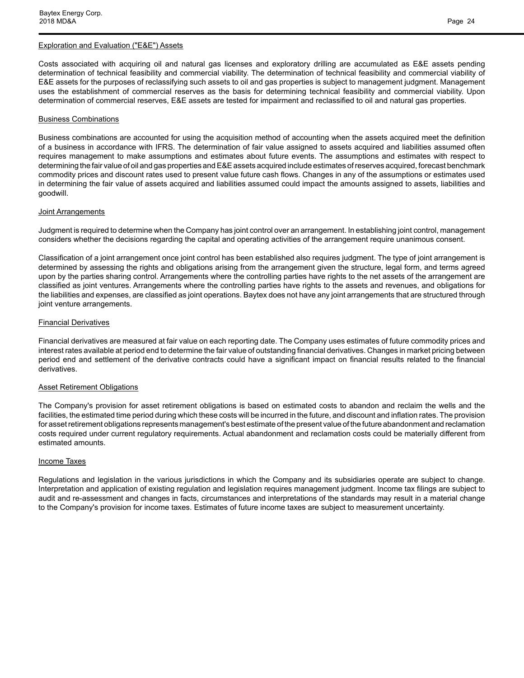## Exploration and Evaluation ("E&E") Assets

Costs associated with acquiring oil and natural gas licenses and exploratory drilling are accumulated as E&E assets pending determination of technical feasibility and commercial viability. The determination of technical feasibility and commercial viability of E&E assets for the purposes of reclassifying such assets to oil and gas properties is subject to management judgment. Management uses the establishment of commercial reserves as the basis for determining technical feasibility and commercial viability. Upon determination of commercial reserves, E&E assets are tested for impairment and reclassified to oil and natural gas properties.

## Business Combinations

Business combinations are accounted for using the acquisition method of accounting when the assets acquired meet the definition of a business in accordance with IFRS. The determination of fair value assigned to assets acquired and liabilities assumed often requires management to make assumptions and estimates about future events. The assumptions and estimates with respect to determining the fair value of oil and gas properties and E&E assets acquired include estimates of reserves acquired, forecast benchmark commodity prices and discount rates used to present value future cash flows. Changes in any of the assumptions or estimates used in determining the fair value of assets acquired and liabilities assumed could impact the amounts assigned to assets, liabilities and goodwill.

# **Joint Arrangements**

Judgment is required to determine when the Company has joint control over an arrangement. In establishing joint control, management considers whether the decisions regarding the capital and operating activities of the arrangement require unanimous consent.

Classification of a joint arrangement once joint control has been established also requires judgment. The type of joint arrangement is determined by assessing the rights and obligations arising from the arrangement given the structure, legal form, and terms agreed upon by the parties sharing control. Arrangements where the controlling parties have rights to the net assets of the arrangement are classified as joint ventures. Arrangements where the controlling parties have rights to the assets and revenues, and obligations for the liabilities and expenses, are classified as joint operations. Baytex does not have any joint arrangements that are structured through joint venture arrangements.

# Financial Derivatives

Financial derivatives are measured at fair value on each reporting date. The Company uses estimates of future commodity prices and interest rates available at period end to determine the fair value of outstanding financial derivatives. Changes in market pricing between period end and settlement of the derivative contracts could have a significant impact on financial results related to the financial derivatives.

# Asset Retirement Obligations

The Company's provision for asset retirement obligations is based on estimated costs to abandon and reclaim the wells and the facilities, the estimated time period during which these costs will be incurred in the future, and discount and inflation rates. The provision for asset retirement obligations represents management's best estimate of the present value of the future abandonment and reclamation costs required under current regulatory requirements. Actual abandonment and reclamation costs could be materially different from estimated amounts.

## Income Taxes

Regulations and legislation in the various jurisdictions in which the Company and its subsidiaries operate are subject to change. Interpretation and application of existing regulation and legislation requires management judgment. Income tax filings are subject to audit and re-assessment and changes in facts, circumstances and interpretations of the standards may result in a material change to the Company's provision for income taxes. Estimates of future income taxes are subject to measurement uncertainty.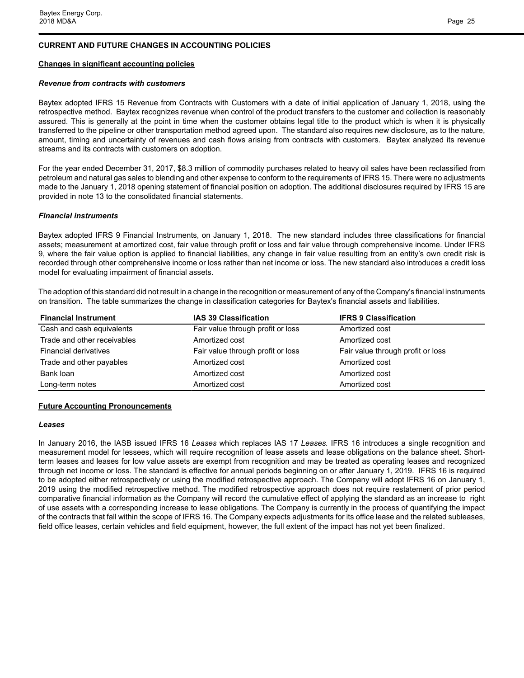# **CURRENT AND FUTURE CHANGES IN ACCOUNTING POLICIES**

#### **Changes in significant accounting policies**

#### *Revenue from contracts with customers*

Baytex adopted IFRS 15 Revenue from Contracts with Customers with a date of initial application of January 1, 2018, using the retrospective method. Baytex recognizes revenue when control of the product transfers to the customer and collection is reasonably assured. This is generally at the point in time when the customer obtains legal title to the product which is when it is physically transferred to the pipeline or other transportation method agreed upon. The standard also requires new disclosure, as to the nature, amount, timing and uncertainty of revenues and cash flows arising from contracts with customers. Baytex analyzed its revenue streams and its contracts with customers on adoption.

For the year ended December 31, 2017, \$8.3 million of commodity purchases related to heavy oil sales have been reclassified from petroleum and natural gas sales to blending and other expense to conform to the requirements of IFRS 15. There were no adjustments made to the January 1, 2018 opening statement of financial position on adoption. The additional disclosures required by IFRS 15 are provided in note 13 to the consolidated financial statements.

## *Financial instruments*

Baytex adopted IFRS 9 Financial Instruments, on January 1, 2018. The new standard includes three classifications for financial assets; measurement at amortized cost, fair value through profit or loss and fair value through comprehensive income. Under IFRS 9, where the fair value option is applied to financial liabilities, any change in fair value resulting from an entity's own credit risk is recorded through other comprehensive income or loss rather than net income or loss. The new standard also introduces a credit loss model for evaluating impairment of financial assets.

The adoption of this standard did not result in a change in the recognition or measurement of any of the Company's financial instruments on transition. The table summarizes the change in classification categories for Baytex's financial assets and liabilities.

| <b>Financial Instrument</b>  | <b>IAS 39 Classification</b>      | <b>IFRS 9 Classification</b>      |
|------------------------------|-----------------------------------|-----------------------------------|
| Cash and cash equivalents    | Fair value through profit or loss | Amortized cost                    |
| Trade and other receivables  | Amortized cost                    | Amortized cost                    |
| <b>Financial derivatives</b> | Fair value through profit or loss | Fair value through profit or loss |
| Trade and other payables     | Amortized cost                    | Amortized cost                    |
| Bank loan                    | Amortized cost                    | Amortized cost                    |
| Long-term notes              | Amortized cost                    | Amortized cost                    |

## **Future Accounting Pronouncements**

#### *Leases*

In January 2016, the IASB issued IFRS 16 *Leases* which replaces IAS 17 *Leases.* IFRS 16 introduces a single recognition and measurement model for lessees, which will require recognition of lease assets and lease obligations on the balance sheet. Shortterm leases and leases for low value assets are exempt from recognition and may be treated as operating leases and recognized through net income or loss. The standard is effective for annual periods beginning on or after January 1, 2019. IFRS 16 is required to be adopted either retrospectively or using the modified retrospective approach. The Company will adopt IFRS 16 on January 1, 2019 using the modified retrospective method. The modified retrospective approach does not require restatement of prior period comparative financial information as the Company will record the cumulative effect of applying the standard as an increase to right of use assets with a corresponding increase to lease obligations. The Company is currently in the process of quantifying the impact of the contracts that fall within the scope of IFRS 16. The Company expects adjustments for its office lease and the related subleases, field office leases, certain vehicles and field equipment, however, the full extent of the impact has not yet been finalized.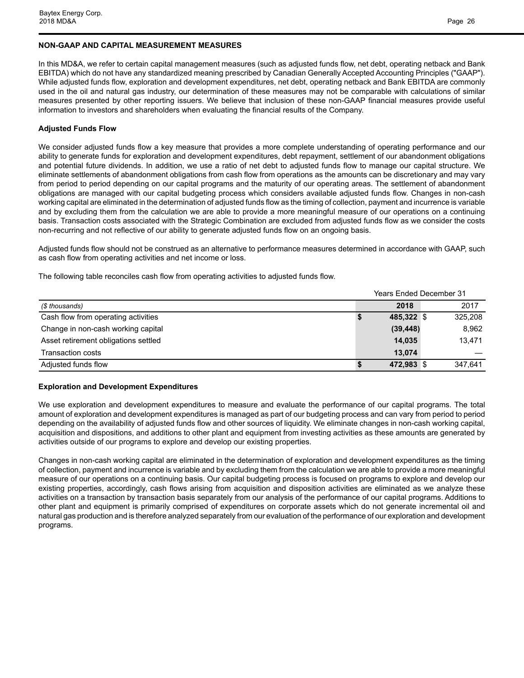## **NON-GAAP AND CAPITAL MEASUREMENT MEASURES**

In this MD&A, we refer to certain capital management measures (such as adjusted funds flow, net debt, operating netback and Bank EBITDA) which do not have any standardized meaning prescribed by Canadian Generally Accepted Accounting Principles ("GAAP"). While adjusted funds flow, exploration and development expenditures, net debt, operating netback and Bank EBITDA are commonly used in the oil and natural gas industry, our determination of these measures may not be comparable with calculations of similar measures presented by other reporting issuers. We believe that inclusion of these non-GAAP financial measures provide useful information to investors and shareholders when evaluating the financial results of the Company.

## **Adjusted Funds Flow**

We consider adjusted funds flow a key measure that provides a more complete understanding of operating performance and our ability to generate funds for exploration and development expenditures, debt repayment, settlement of our abandonment obligations and potential future dividends. In addition, we use a ratio of net debt to adjusted funds flow to manage our capital structure. We eliminate settlements of abandonment obligations from cash flow from operations as the amounts can be discretionary and may vary from period to period depending on our capital programs and the maturity of our operating areas. The settlement of abandonment obligations are managed with our capital budgeting process which considers available adjusted funds flow. Changes in non-cash working capital are eliminated in the determination of adjusted funds flow as the timing of collection, payment and incurrence is variable and by excluding them from the calculation we are able to provide a more meaningful measure of our operations on a continuing basis. Transaction costs associated with the Strategic Combination are excluded from adjusted funds flow as we consider the costs non-recurring and not reflective of our ability to generate adjusted funds flow on an ongoing basis.

Adjusted funds flow should not be construed as an alternative to performance measures determined in accordance with GAAP, such as cash flow from operating activities and net income or loss.

The following table reconciles cash flow from operating activities to adjusted funds flow.

|                                      | <b>Years Ended December 31</b> |            |  |         |  |
|--------------------------------------|--------------------------------|------------|--|---------|--|
| (\$ thousands)                       |                                | 2018       |  | 2017    |  |
| Cash flow from operating activities  |                                | 485,322 \$ |  | 325,208 |  |
| Change in non-cash working capital   |                                | (39, 448)  |  | 8,962   |  |
| Asset retirement obligations settled |                                | 14.035     |  | 13,471  |  |
| <b>Transaction costs</b>             |                                | 13.074     |  |         |  |
| Adjusted funds flow                  |                                | 472,983 \$ |  | 347.641 |  |

## **Exploration and Development Expenditures**

We use exploration and development expenditures to measure and evaluate the performance of our capital programs. The total amount of exploration and development expenditures is managed as part of our budgeting process and can vary from period to period depending on the availability of adjusted funds flow and other sources of liquidity. We eliminate changes in non-cash working capital, acquisition and dispositions, and additions to other plant and equipment from investing activities as these amounts are generated by activities outside of our programs to explore and develop our existing properties.

Changes in non-cash working capital are eliminated in the determination of exploration and development expenditures as the timing of collection, payment and incurrence is variable and by excluding them from the calculation we are able to provide a more meaningful measure of our operations on a continuing basis. Our capital budgeting process is focused on programs to explore and develop our existing properties, accordingly, cash flows arising from acquisition and disposition activities are eliminated as we analyze these activities on a transaction by transaction basis separately from our analysis of the performance of our capital programs. Additions to other plant and equipment is primarily comprised of expenditures on corporate assets which do not generate incremental oil and natural gas production and is therefore analyzed separately from our evaluation of the performance of our exploration and development programs.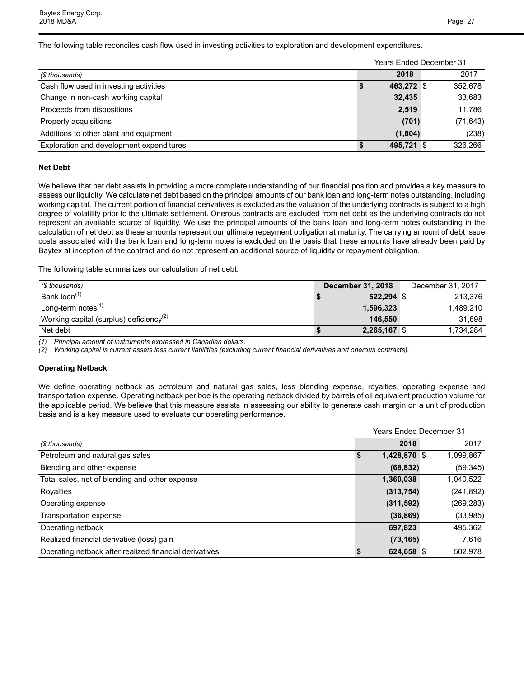The following table reconciles cash flow used in investing activities to exploration and development expenditures.

|                                          | <b>Years Ended December 31</b> |              |  |           |  |
|------------------------------------------|--------------------------------|--------------|--|-----------|--|
| (\$ thousands)                           |                                | 2018         |  | 2017      |  |
| Cash flow used in investing activities   |                                | 463,272 \$   |  | 352,678   |  |
| Change in non-cash working capital       |                                | 32,435       |  | 33,683    |  |
| Proceeds from dispositions               |                                | 2,519        |  | 11.786    |  |
| Property acquisitions                    |                                | (701)        |  | (71, 643) |  |
| Additions to other plant and equipment   |                                | (1,804)      |  | (238)     |  |
| Exploration and development expenditures |                                | $495,721$ \$ |  | 326,266   |  |

#### **Net Debt**

We believe that net debt assists in providing a more complete understanding of our financial position and provides a key measure to assess our liquidity. We calculate net debt based on the principal amounts of our bank loan and long-term notes outstanding, including working capital. The current portion of financial derivatives is excluded as the valuation of the underlying contracts is subject to a high degree of volatility prior to the ultimate settlement. Onerous contracts are excluded from net debt as the underlying contracts do not represent an available source of liquidity. We use the principal amounts of the bank loan and long-term notes outstanding in the calculation of net debt as these amounts represent our ultimate repayment obligation at maturity. The carrying amount of debt issue costs associated with the bank loan and long-term notes is excluded on the basis that these amounts have already been paid by Baytex at inception of the contract and do not represent an additional source of liquidity or repayment obligation.

The following table summarizes our calculation of net debt.

| (\$ thousands)                                      | <b>December 31, 2018</b> | December 31, 2017 |
|-----------------------------------------------------|--------------------------|-------------------|
| Bank loan <sup>(1)</sup>                            | 522.294 \$               | 213.376           |
| Long-term notes <sup>(1)</sup>                      | 1,596,323                | 1.489.210         |
| Working capital (surplus) deficiency <sup>(2)</sup> | 146.550                  | 31.698            |
| Net debt                                            | 2,265,167 \$             | 1.734.284         |

*(1) Principal amount of instruments expressed in Canadian dollars.* 

*(2) Working capital is current assets less current liabilities (excluding current financial derivatives and onerous contracts).* 

#### **Operating Netback**

We define operating netback as petroleum and natural gas sales, less blending expense, royalties, operating expense and transportation expense. Operating netback per boe is the operating netback divided by barrels of oil equivalent production volume for the applicable period. We believe that this measure assists in assessing our ability to generate cash margin on a unit of production basis and is a key measure used to evaluate our operating performance.

| <b>Years Ended December 31</b>                         |  |              |  |            |  |
|--------------------------------------------------------|--|--------------|--|------------|--|
| (\$ thousands)                                         |  | 2018         |  | 2017       |  |
| Petroleum and natural gas sales                        |  | 1,428,870 \$ |  | 1,099,867  |  |
| Blending and other expense                             |  | (68, 832)    |  | (59, 345)  |  |
| Total sales, net of blending and other expense         |  | 1,360,038    |  | 1,040,522  |  |
| Royalties                                              |  | (313, 754)   |  | (241, 892) |  |
| Operating expense                                      |  | (311, 592)   |  | (269, 283) |  |
| Transportation expense                                 |  | (36, 869)    |  | (33, 985)  |  |
| Operating netback                                      |  | 697,823      |  | 495,362    |  |
| Realized financial derivative (loss) gain              |  | (73, 165)    |  | 7,616      |  |
| Operating netback after realized financial derivatives |  | 624,658 \$   |  | 502.978    |  |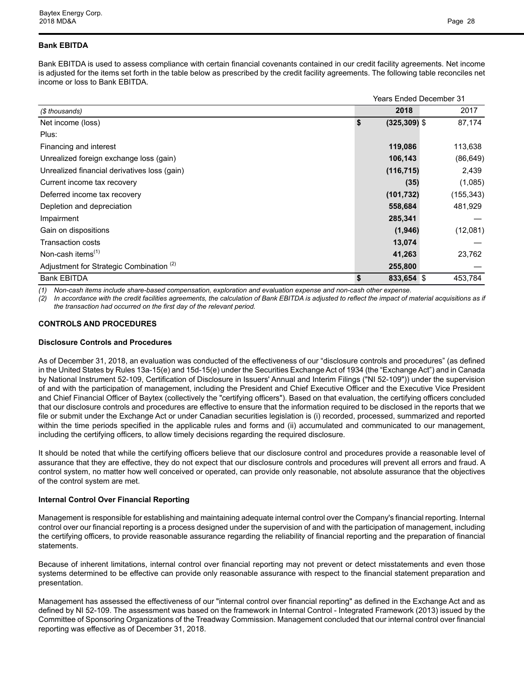# **Bank EBITDA**

Bank EBITDA is used to assess compliance with certain financial covenants contained in our credit facility agreements. Net income is adjusted for the items set forth in the table below as prescribed by the credit facility agreements. The following table reconciles net income or loss to Bank EBITDA.

|                                                     |    | <b>Years Ended December 31</b> |            |
|-----------------------------------------------------|----|--------------------------------|------------|
| (\$ thousands)                                      |    | 2018                           | 2017       |
| Net income (loss)                                   | S  | $(325, 309)$ \$                | 87,174     |
| Plus:                                               |    |                                |            |
| Financing and interest                              |    | 119,086                        | 113,638    |
| Unrealized foreign exchange loss (gain)             |    | 106,143                        | (86, 649)  |
| Unrealized financial derivatives loss (gain)        |    | (116, 715)                     | 2,439      |
| Current income tax recovery                         |    | (35)                           | (1,085)    |
| Deferred income tax recovery                        |    | (101, 732)                     | (155, 343) |
| Depletion and depreciation                          |    | 558,684                        | 481,929    |
| Impairment                                          |    | 285,341                        |            |
| Gain on dispositions                                |    | (1,946)                        | (12,081)   |
| <b>Transaction costs</b>                            |    | 13,074                         |            |
| Non-cash items <sup>(1)</sup>                       |    | 41,263                         | 23,762     |
| Adjustment for Strategic Combination <sup>(2)</sup> |    | 255,800                        |            |
| <b>Bank EBITDA</b>                                  | \$ | 833,654 \$                     | 453,784    |

*(1) Non-cash items include share-based compensation, exploration and evaluation expense and non-cash other expense.*

*(2) In accordance with the credit facilities agreements, the calculation of Bank EBITDA is adjusted to reflect the impact of material acquisitions as if the transaction had occurred on the first day of the relevant period.*

# **CONTROLS AND PROCEDURES**

## **Disclosure Controls and Procedures**

As of December 31, 2018, an evaluation was conducted of the effectiveness of our "disclosure controls and procedures" (as defined in the United States by Rules 13a-15(e) and 15d-15(e) under the Securities Exchange Act of 1934 (the "Exchange Act") and in Canada by National Instrument 52-109, Certification of Disclosure in Issuers' Annual and Interim Filings ("NI 52-109")) under the supervision of and with the participation of management, including the President and Chief Executive Officer and the Executive Vice President and Chief Financial Officer of Baytex (collectively the "certifying officers"). Based on that evaluation, the certifying officers concluded that our disclosure controls and procedures are effective to ensure that the information required to be disclosed in the reports that we file or submit under the Exchange Act or under Canadian securities legislation is (i) recorded, processed, summarized and reported within the time periods specified in the applicable rules and forms and (ii) accumulated and communicated to our management, including the certifying officers, to allow timely decisions regarding the required disclosure.

It should be noted that while the certifying officers believe that our disclosure control and procedures provide a reasonable level of assurance that they are effective, they do not expect that our disclosure controls and procedures will prevent all errors and fraud. A control system, no matter how well conceived or operated, can provide only reasonable, not absolute assurance that the objectives of the control system are met.

# **Internal Control Over Financial Reporting**

Management is responsible for establishing and maintaining adequate internal control over the Company's financial reporting. Internal control over our financial reporting is a process designed under the supervision of and with the participation of management, including the certifying officers, to provide reasonable assurance regarding the reliability of financial reporting and the preparation of financial statements.

Because of inherent limitations, internal control over financial reporting may not prevent or detect misstatements and even those systems determined to be effective can provide only reasonable assurance with respect to the financial statement preparation and presentation.

Management has assessed the effectiveness of our "internal control over financial reporting" as defined in the Exchange Act and as defined by NI 52-109. The assessment was based on the framework in Internal Control - Integrated Framework (2013) issued by the Committee of Sponsoring Organizations of the Treadway Commission. Management concluded that our internal control over financial reporting was effective as of December 31, 2018.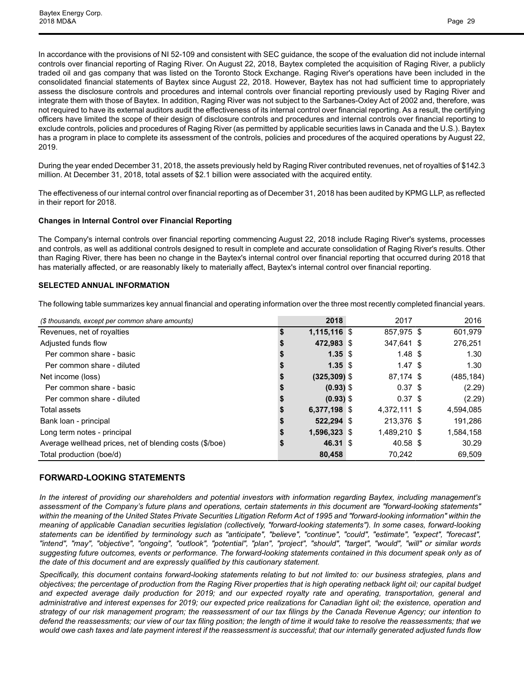In accordance with the provisions of NI 52-109 and consistent with SEC guidance, the scope of the evaluation did not include internal controls over financial reporting of Raging River. On August 22, 2018, Baytex completed the acquisition of Raging River, a publicly traded oil and gas company that was listed on the Toronto Stock Exchange. Raging River's operations have been included in the consolidated financial statements of Baytex since August 22, 2018. However, Baytex has not had sufficient time to appropriately assess the disclosure controls and procedures and internal controls over financial reporting previously used by Raging River and integrate them with those of Baytex. In addition, Raging River was not subject to the Sarbanes-Oxley Act of 2002 and, therefore, was not required to have its external auditors audit the effectiveness of its internal control over financial reporting. As a result, the certifying officers have limited the scope of their design of disclosure controls and procedures and internal controls over financial reporting to exclude controls, policies and procedures of Raging River (as permitted by applicable securities laws in Canada and the U.S.). Baytex has a program in place to complete its assessment of the controls, policies and procedures of the acquired operations by August 22, 2019.

During the year ended December 31, 2018, the assets previously held by Raging River contributed revenues, net of royalties of \$142.3 million. At December 31, 2018, total assets of \$2.1 billion were associated with the acquired entity.

The effectiveness of our internal control over financial reporting as of December 31, 2018 has been audited by KPMG LLP, as reflected in their report for 2018.

#### **Changes in Internal Control over Financial Reporting**

The Company's internal controls over financial reporting commencing August 22, 2018 include Raging River's systems, processes and controls, as well as additional controls designed to result in complete and accurate consolidation of Raging River's results. Other than Raging River, there has been no change in the Baytex's internal control over financial reporting that occurred during 2018 that has materially affected, or are reasonably likely to materially affect, Baytex's internal control over financial reporting.

#### **SELECTED ANNUAL INFORMATION**

The following table summarizes key annual financial and operating information over the three most recently completed financial years.

| (\$ thousands, except per common share amounts)         |   | 2018            | 2017              | 2016       |
|---------------------------------------------------------|---|-----------------|-------------------|------------|
| Revenues, net of royalties                              | S | 1,115,116 \$    | 857,975 \$        | 601,979    |
| Adjusted funds flow                                     |   | 472,983 \$      | 347,641 \$        | 276,251    |
| Per common share - basic                                |   | $1.35$ \$       | $1.48 \text{ } $$ | 1.30       |
| Per common share - diluted                              |   | 1.35S           | $1.47$ \$         | 1.30       |
| Net income (loss)                                       |   | $(325, 309)$ \$ | 87,174 \$         | (485, 184) |
| Per common share - basic                                |   | $(0.93)$ \$     | $0.37$ \$         | (2.29)     |
| Per common share - diluted                              |   | $(0.93)$ \$     | 0.37 <sup>5</sup> | (2.29)     |
| Total assets                                            |   | 6,377,198 \$    | 4,372,111 \$      | 4,594,085  |
| Bank loan - principal                                   |   | 522.294 \$      | 213,376 \$        | 191,286    |
| Long term notes - principal                             |   | 1,596,323 \$    | 1,489,210 \$      | 1,584,158  |
| Average wellhead prices, net of blending costs (\$/boe) |   | 46.31 \$        | 40.58 \$          | 30.29      |
| Total production (boe/d)                                |   | 80,458          | 70,242            | 69,509     |

# **FORWARD-LOOKING STATEMENTS**

*In the interest of providing our shareholders and potential investors with information regarding Baytex, including management's assessment of the Company's future plans and operations, certain statements in this document are "forward-looking statements"*  within the meaning of the United States Private Securities Litigation Reform Act of 1995 and "forward-looking information" within the *meaning of applicable Canadian securities legislation (collectively, "forward-looking statements"). In some cases, forward-looking statements can be identified by terminology such as "anticipate", "believe", "continue", "could", "estimate", "expect", "forecast", "intend", "may", "objective", "ongoing", "outlook", "potential", "plan", "project", "should", "target", "would", "will" or similar words suggesting future outcomes, events or performance. The forward-looking statements contained in this document speak only as of the date of this document and are expressly qualified by this cautionary statement.*

*Specifically, this document contains forward-looking statements relating to but not limited to: our business strategies, plans and objectives; the percentage of production from the Raging River properties that is high operating netback light oil; our capital budget and expected average daily production for 2019; and our expected royalty rate and operating, transportation, general and administrative and interest expenses for 2019; our expected price realizations for Canadian light oil; the existence, operation and strategy of our risk management program; the reassessment of our tax filings by the Canada Revenue Agency; our intention to defend the reassessments; our view of our tax filing position; the length of time it would take to resolve the reassessments; that we would owe cash taxes and late payment interest if the reassessment is successful; that our internally generated adjusted funds flow*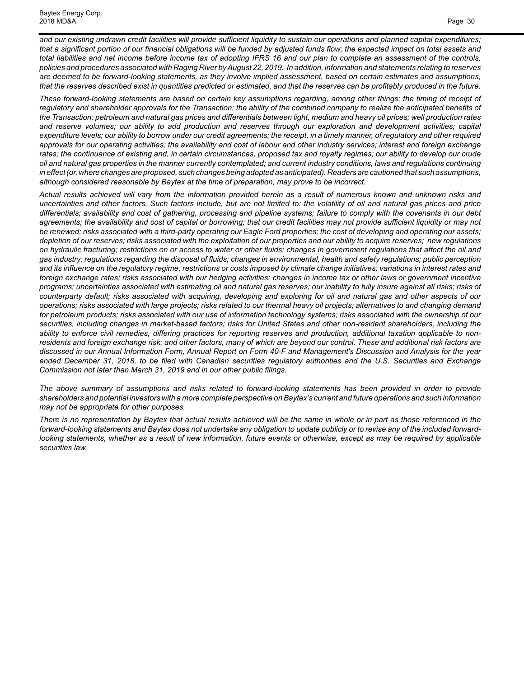*and our existing undrawn credit facilities will provide sufficient liquidity to sustain our operations and planned capital expenditures; that a significant portion of our financial obligations will be funded by adjusted funds flow; the expected impact on total assets and total liabilities and net income before income tax of adopting IFRS 16 and our plan to complete an assessment of the controls, policies and procedures associated with Raging River by August 22, 2019. In addition, information and statements relating to reserves are deemed to be forward-looking statements, as they involve implied assessment, based on certain estimates and assumptions, that the reserves described exist in quantities predicted or estimated, and that the reserves can be profitably produced in the future.*

*These forward-looking statements are based on certain key assumptions regarding, among other things: the timing of receipt of regulatory and shareholder approvals for the Transaction; the ability of the combined company to realize the anticipated benefits of the Transaction; petroleum and natural gas prices and differentials between light, medium and heavy oil prices; well production rates and reserve volumes; our ability to add production and reserves through our exploration and development activities; capital expenditure levels; our ability to borrow under our credit agreements; the receipt, in a timely manner, of regulatory and other required*  approvals for our operating activities; the availability and cost of labour and other industry services; interest and foreign exchange *rates; the continuance of existing and, in certain circumstances, proposed tax and royalty regimes; our ability to develop our crude oil and natural gas properties in the manner currently contemplated; and current industry conditions, laws and regulations continuing in effect (or, where changes are proposed, such changes being adopted as anticipated). Readers are cautioned that such assumptions, although considered reasonable by Baytex at the time of preparation, may prove to be incorrect.*

*Actual results achieved will vary from the information provided herein as a result of numerous known and unknown risks and uncertainties and other factors. Such factors include, but are not limited to: the volatility of oil and natural gas prices and price differentials; availability and cost of gathering, processing and pipeline systems; failure to comply with the covenants in our debt*  agreements; the availability and cost of capital or borrowing; that our credit facilities may not provide sufficient liquidity or may not *be renewed; risks associated with a third-party operating our Eagle Ford properties; the cost of developing and operating our assets; depletion of our reserves; risks associated with the exploitation of our properties and our ability to acquire reserves; new regulations on hydraulic fracturing; restrictions on or access to water or other fluids; changes in government regulations that affect the oil and gas industry; regulations regarding the disposal of fluids; changes in environmental, health and safety regulations; public perception and its influence on the regulatory regime; restrictions or costs imposed by climate change initiatives; variations in interest rates and*  foreign exchange rates; risks associated with our hedging activities; changes in income tax or other laws or government incentive *programs; uncertainties associated with estimating oil and natural gas reserves; our inability to fully insure against all risks; risks of counterparty default; risks associated with acquiring, developing and exploring for oil and natural gas and other aspects of our operations; risks associated with large projects; risks related to our thermal heavy oil projects; alternatives to and changing demand for petroleum products; risks associated with our use of information technology systems; risks associated with the ownership of our securities, including changes in market-based factors; risks for United States and other non-resident shareholders, including the ability to enforce civil remedies, differing practices for reporting reserves and production, additional taxation applicable to nonresidents and foreign exchange risk; and other factors, many of which are beyond our control. These and additional risk factors are discussed in our Annual Information Form, Annual Report on Form 40-F and Management's Discussion and Analysis for the year*  ended December 31, 2018, to be filed with Canadian securities regulatory authorities and the U.S. Securities and Exchange *Commission not later than March 31, 2019 and in our other public filings.*

*The above summary of assumptions and risks related to forward-looking statements has been provided in order to provide shareholders and potential investors with a more complete perspective on Baytex's current and future operations and such information may not be appropriate for other purposes.*

*There is no representation by Baytex that actual results achieved will be the same in whole or in part as those referenced in the forward-looking statements and Baytex does not undertake any obligation to update publicly or to revise any of the included forwardlooking statements, whether as a result of new information, future events or otherwise, except as may be required by applicable securities law.*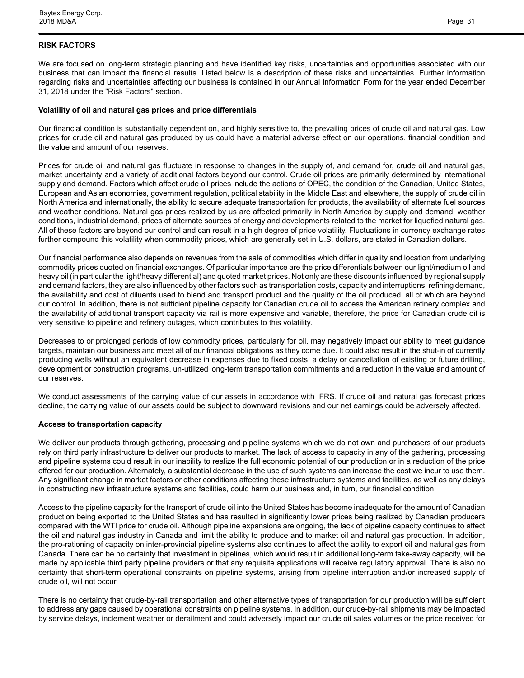# **RISK FACTORS**

We are focused on long-term strategic planning and have identified key risks, uncertainties and opportunities associated with our business that can impact the financial results. Listed below is a description of these risks and uncertainties. Further information regarding risks and uncertainties affecting our business is contained in our Annual Information Form for the year ended December 31, 2018 under the "Risk Factors" section.

## **Volatility of oil and natural gas prices and price differentials**

Our financial condition is substantially dependent on, and highly sensitive to, the prevailing prices of crude oil and natural gas. Low prices for crude oil and natural gas produced by us could have a material adverse effect on our operations, financial condition and the value and amount of our reserves.

Prices for crude oil and natural gas fluctuate in response to changes in the supply of, and demand for, crude oil and natural gas, market uncertainty and a variety of additional factors beyond our control. Crude oil prices are primarily determined by international supply and demand. Factors which affect crude oil prices include the actions of OPEC, the condition of the Canadian, United States, European and Asian economies, government regulation, political stability in the Middle East and elsewhere, the supply of crude oil in North America and internationally, the ability to secure adequate transportation for products, the availability of alternate fuel sources and weather conditions. Natural gas prices realized by us are affected primarily in North America by supply and demand, weather conditions, industrial demand, prices of alternate sources of energy and developments related to the market for liquefied natural gas. All of these factors are beyond our control and can result in a high degree of price volatility. Fluctuations in currency exchange rates further compound this volatility when commodity prices, which are generally set in U.S. dollars, are stated in Canadian dollars.

Our financial performance also depends on revenues from the sale of commodities which differ in quality and location from underlying commodity prices quoted on financial exchanges. Of particular importance are the price differentials between our light/medium oil and heavy oil (in particular the light/heavy differential) and quoted market prices. Not only are these discounts influenced by regional supply and demand factors, they are also influenced by other factors such as transportation costs, capacity and interruptions, refining demand, the availability and cost of diluents used to blend and transport product and the quality of the oil produced, all of which are beyond our control. In addition, there is not sufficient pipeline capacity for Canadian crude oil to access the American refinery complex and the availability of additional transport capacity via rail is more expensive and variable, therefore, the price for Canadian crude oil is very sensitive to pipeline and refinery outages, which contributes to this volatility.

Decreases to or prolonged periods of low commodity prices, particularly for oil, may negatively impact our ability to meet guidance targets, maintain our business and meet all of our financial obligations as they come due. It could also result in the shut-in of currently producing wells without an equivalent decrease in expenses due to fixed costs, a delay or cancellation of existing or future drilling, development or construction programs, un-utilized long-term transportation commitments and a reduction in the value and amount of our reserves.

We conduct assessments of the carrying value of our assets in accordance with IFRS. If crude oil and natural gas forecast prices decline, the carrying value of our assets could be subject to downward revisions and our net earnings could be adversely affected.

## **Access to transportation capacity**

We deliver our products through gathering, processing and pipeline systems which we do not own and purchasers of our products rely on third party infrastructure to deliver our products to market. The lack of access to capacity in any of the gathering, processing and pipeline systems could result in our inability to realize the full economic potential of our production or in a reduction of the price offered for our production. Alternately, a substantial decrease in the use of such systems can increase the cost we incur to use them. Any significant change in market factors or other conditions affecting these infrastructure systems and facilities, as well as any delays in constructing new infrastructure systems and facilities, could harm our business and, in turn, our financial condition.

Access to the pipeline capacity for the transport of crude oil into the United States has become inadequate for the amount of Canadian production being exported to the United States and has resulted in significantly lower prices being realized by Canadian producers compared with the WTI price for crude oil. Although pipeline expansions are ongoing, the lack of pipeline capacity continues to affect the oil and natural gas industry in Canada and limit the ability to produce and to market oil and natural gas production. In addition, the pro-rationing of capacity on inter-provincial pipeline systems also continues to affect the ability to export oil and natural gas from Canada. There can be no certainty that investment in pipelines, which would result in additional long-term take-away capacity, will be made by applicable third party pipeline providers or that any requisite applications will receive regulatory approval. There is also no certainty that short-term operational constraints on pipeline systems, arising from pipeline interruption and/or increased supply of crude oil, will not occur.

There is no certainty that crude-by-rail transportation and other alternative types of transportation for our production will be sufficient to address any gaps caused by operational constraints on pipeline systems. In addition, our crude-by-rail shipments may be impacted by service delays, inclement weather or derailment and could adversely impact our crude oil sales volumes or the price received for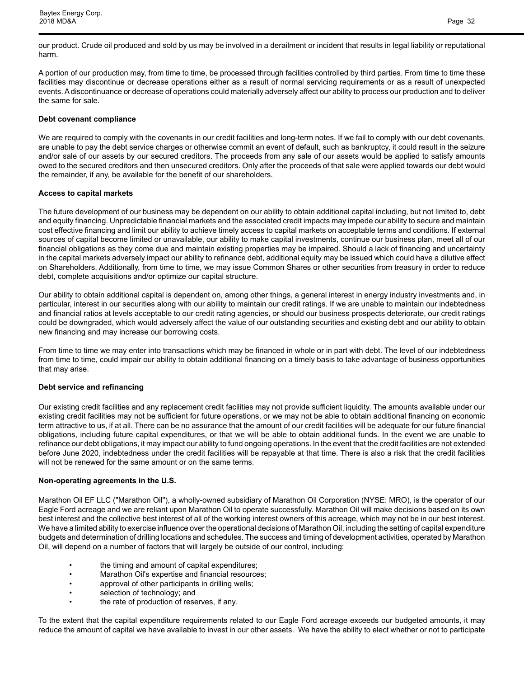our product. Crude oil produced and sold by us may be involved in a derailment or incident that results in legal liability or reputational harm.

A portion of our production may, from time to time, be processed through facilities controlled by third parties. From time to time these facilities may discontinue or decrease operations either as a result of normal servicing requirements or as a result of unexpected events. Adiscontinuance or decrease of operations could materially adversely affect our ability to process our production and to deliver the same for sale.

#### **Debt covenant compliance**

We are required to comply with the covenants in our credit facilities and long-term notes. If we fail to comply with our debt covenants, are unable to pay the debt service charges or otherwise commit an event of default, such as bankruptcy, it could result in the seizure and/or sale of our assets by our secured creditors. The proceeds from any sale of our assets would be applied to satisfy amounts owed to the secured creditors and then unsecured creditors. Only after the proceeds of that sale were applied towards our debt would the remainder, if any, be available for the benefit of our shareholders.

## **Access to capital markets**

The future development of our business may be dependent on our ability to obtain additional capital including, but not limited to, debt and equity financing. Unpredictable financial markets and the associated credit impacts may impede our ability to secure and maintain cost effective financing and limit our ability to achieve timely access to capital markets on acceptable terms and conditions. If external sources of capital become limited or unavailable, our ability to make capital investments, continue our business plan, meet all of our financial obligations as they come due and maintain existing properties may be impaired. Should a lack of financing and uncertainty in the capital markets adversely impact our ability to refinance debt, additional equity may be issued which could have a dilutive effect on Shareholders. Additionally, from time to time, we may issue Common Shares or other securities from treasury in order to reduce debt, complete acquisitions and/or optimize our capital structure.

Our ability to obtain additional capital is dependent on, among other things, a general interest in energy industry investments and, in particular, interest in our securities along with our ability to maintain our credit ratings. If we are unable to maintain our indebtedness and financial ratios at levels acceptable to our credit rating agencies, or should our business prospects deteriorate, our credit ratings could be downgraded, which would adversely affect the value of our outstanding securities and existing debt and our ability to obtain new financing and may increase our borrowing costs.

From time to time we may enter into transactions which may be financed in whole or in part with debt. The level of our indebtedness from time to time, could impair our ability to obtain additional financing on a timely basis to take advantage of business opportunities that may arise.

#### **Debt service and refinancing**

Our existing credit facilities and any replacement credit facilities may not provide sufficient liquidity. The amounts available under our existing credit facilities may not be sufficient for future operations, or we may not be able to obtain additional financing on economic term attractive to us, if at all. There can be no assurance that the amount of our credit facilities will be adequate for our future financial obligations, including future capital expenditures, or that we will be able to obtain additional funds. In the event we are unable to refinance our debt obligations, it may impact our ability to fund ongoing operations. In the event that the credit facilities are not extended before June 2020, indebtedness under the credit facilities will be repayable at that time. There is also a risk that the credit facilities will not be renewed for the same amount or on the same terms.

#### **Non-operating agreements in the U.S.**

Marathon Oil EF LLC ("Marathon Oil"), a wholly-owned subsidiary of Marathon Oil Corporation (NYSE: MRO), is the operator of our Eagle Ford acreage and we are reliant upon Marathon Oil to operate successfully. Marathon Oil will make decisions based on its own best interest and the collective best interest of all of the working interest owners of this acreage, which may not be in our best interest. We have a limited ability to exercise influence over the operational decisions of Marathon Oil, including the setting of capital expenditure budgets and determination of drilling locations and schedules. The success and timing of development activities, operated by Marathon Oil, will depend on a number of factors that will largely be outside of our control, including:

- the timing and amount of capital expenditures;
- Marathon Oil's expertise and financial resources;
- approval of other participants in drilling wells;
- selection of technology; and
- the rate of production of reserves, if any.

To the extent that the capital expenditure requirements related to our Eagle Ford acreage exceeds our budgeted amounts, it may reduce the amount of capital we have available to invest in our other assets. We have the ability to elect whether or not to participate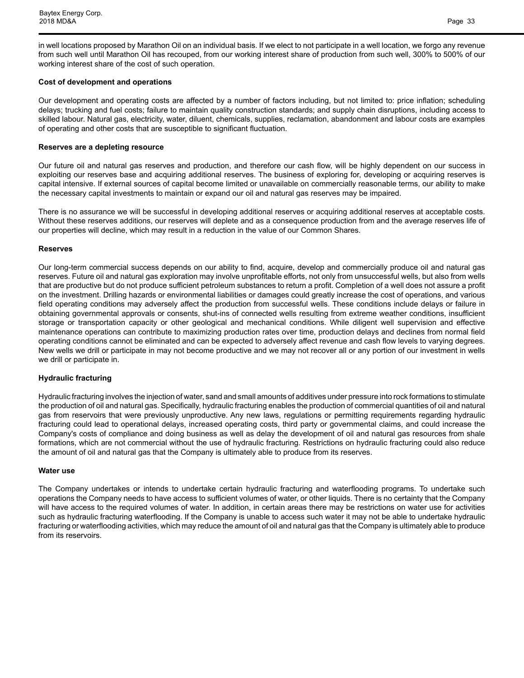in well locations proposed by Marathon Oil on an individual basis. If we elect to not participate in a well location, we forgo any revenue from such well until Marathon Oil has recouped, from our working interest share of production from such well, 300% to 500% of our working interest share of the cost of such operation.

#### **Cost of development and operations**

Our development and operating costs are affected by a number of factors including, but not limited to: price inflation; scheduling delays; trucking and fuel costs; failure to maintain quality construction standards; and supply chain disruptions, including access to skilled labour. Natural gas, electricity, water, diluent, chemicals, supplies, reclamation, abandonment and labour costs are examples of operating and other costs that are susceptible to significant fluctuation.

#### **Reserves are a depleting resource**

Our future oil and natural gas reserves and production, and therefore our cash flow, will be highly dependent on our success in exploiting our reserves base and acquiring additional reserves. The business of exploring for, developing or acquiring reserves is capital intensive. If external sources of capital become limited or unavailable on commercially reasonable terms, our ability to make the necessary capital investments to maintain or expand our oil and natural gas reserves may be impaired.

There is no assurance we will be successful in developing additional reserves or acquiring additional reserves at acceptable costs. Without these reserves additions, our reserves will deplete and as a consequence production from and the average reserves life of our properties will decline, which may result in a reduction in the value of our Common Shares.

#### **Reserves**

Our long-term commercial success depends on our ability to find, acquire, develop and commercially produce oil and natural gas reserves. Future oil and natural gas exploration may involve unprofitable efforts, not only from unsuccessful wells, but also from wells that are productive but do not produce sufficient petroleum substances to return a profit. Completion of a well does not assure a profit on the investment. Drilling hazards or environmental liabilities or damages could greatly increase the cost of operations, and various field operating conditions may adversely affect the production from successful wells. These conditions include delays or failure in obtaining governmental approvals or consents, shut-ins of connected wells resulting from extreme weather conditions, insufficient storage or transportation capacity or other geological and mechanical conditions. While diligent well supervision and effective maintenance operations can contribute to maximizing production rates over time, production delays and declines from normal field operating conditions cannot be eliminated and can be expected to adversely affect revenue and cash flow levels to varying degrees. New wells we drill or participate in may not become productive and we may not recover all or any portion of our investment in wells we drill or participate in.

#### **Hydraulic fracturing**

Hydraulic fracturing involves the injection of water, sand and small amounts of additives under pressure into rock formations to stimulate the production of oil and natural gas. Specifically, hydraulic fracturing enables the production of commercial quantities of oil and natural gas from reservoirs that were previously unproductive. Any new laws, regulations or permitting requirements regarding hydraulic fracturing could lead to operational delays, increased operating costs, third party or governmental claims, and could increase the Company's costs of compliance and doing business as well as delay the development of oil and natural gas resources from shale formations, which are not commercial without the use of hydraulic fracturing. Restrictions on hydraulic fracturing could also reduce the amount of oil and natural gas that the Company is ultimately able to produce from its reserves.

#### **Water use**

The Company undertakes or intends to undertake certain hydraulic fracturing and waterflooding programs. To undertake such operations the Company needs to have access to sufficient volumes of water, or other liquids. There is no certainty that the Company will have access to the required volumes of water. In addition, in certain areas there may be restrictions on water use for activities such as hydraulic fracturing waterflooding. If the Company is unable to access such water it may not be able to undertake hydraulic fracturing or waterflooding activities, which may reduce the amount of oil and natural gas that the Company is ultimately able to produce from its reservoirs.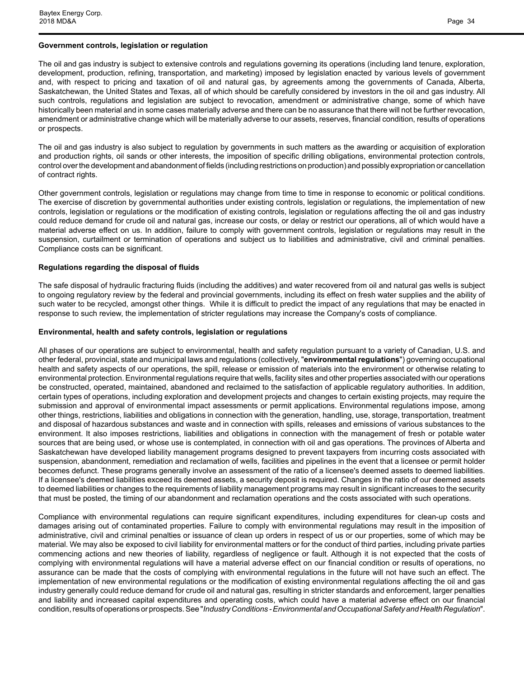#### **Government controls, legislation or regulation**

The oil and gas industry is subject to extensive controls and regulations governing its operations (including land tenure, exploration, development, production, refining, transportation, and marketing) imposed by legislation enacted by various levels of government and, with respect to pricing and taxation of oil and natural gas, by agreements among the governments of Canada, Alberta, Saskatchewan, the United States and Texas, all of which should be carefully considered by investors in the oil and gas industry. All such controls, regulations and legislation are subject to revocation, amendment or administrative change, some of which have historically been material and in some cases materially adverse and there can be no assurance that there will not be further revocation, amendment or administrative change which will be materially adverse to our assets, reserves, financial condition, results of operations or prospects.

The oil and gas industry is also subject to regulation by governments in such matters as the awarding or acquisition of exploration and production rights, oil sands or other interests, the imposition of specific drilling obligations, environmental protection controls, control over the development and abandonment of fields (including restrictions on production) and possibly expropriation or cancellation of contract rights.

Other government controls, legislation or regulations may change from time to time in response to economic or political conditions. The exercise of discretion by governmental authorities under existing controls, legislation or regulations, the implementation of new controls, legislation or regulations or the modification of existing controls, legislation or regulations affecting the oil and gas industry could reduce demand for crude oil and natural gas, increase our costs, or delay or restrict our operations, all of which would have a material adverse effect on us. In addition, failure to comply with government controls, legislation or regulations may result in the suspension, curtailment or termination of operations and subject us to liabilities and administrative, civil and criminal penalties. Compliance costs can be significant.

#### **Regulations regarding the disposal of fluids**

The safe disposal of hydraulic fracturing fluids (including the additives) and water recovered from oil and natural gas wells is subject to ongoing regulatory review by the federal and provincial governments, including its effect on fresh water supplies and the ability of such water to be recycled, amongst other things. While it is difficult to predict the impact of any regulations that may be enacted in response to such review, the implementation of stricter regulations may increase the Company's costs of compliance.

#### **Environmental, health and safety controls, legislation or regulations**

All phases of our operations are subject to environmental, health and safety regulation pursuant to a variety of Canadian, U.S. and other federal, provincial, state and municipal laws and regulations (collectively, "**environmental regulations**") governing occupational health and safety aspects of our operations, the spill, release or emission of materials into the environment or otherwise relating to environmental protection. Environmental regulations require that wells, facility sites and other properties associated with our operations be constructed, operated, maintained, abandoned and reclaimed to the satisfaction of applicable regulatory authorities. In addition, certain types of operations, including exploration and development projects and changes to certain existing projects, may require the submission and approval of environmental impact assessments or permit applications. Environmental regulations impose, among other things, restrictions, liabilities and obligations in connection with the generation, handling, use, storage, transportation, treatment and disposal of hazardous substances and waste and in connection with spills, releases and emissions of various substances to the environment. It also imposes restrictions, liabilities and obligations in connection with the management of fresh or potable water sources that are being used, or whose use is contemplated, in connection with oil and gas operations. The provinces of Alberta and Saskatchewan have developed liability management programs designed to prevent taxpayers from incurring costs associated with suspension, abandonment, remediation and reclamation of wells, facilities and pipelines in the event that a licensee or permit holder becomes defunct. These programs generally involve an assessment of the ratio of a licensee's deemed assets to deemed liabilities. If a licensee's deemed liabilities exceed its deemed assets, a security deposit is required. Changes in the ratio of our deemed assets to deemed liabilities or changes to the requirements of liability management programs may result in significant increases to the security that must be posted, the timing of our abandonment and reclamation operations and the costs associated with such operations.

Compliance with environmental regulations can require significant expenditures, including expenditures for clean-up costs and damages arising out of contaminated properties. Failure to comply with environmental regulations may result in the imposition of administrative, civil and criminal penalties or issuance of clean up orders in respect of us or our properties, some of which may be material. We may also be exposed to civil liability for environmental matters or for the conduct of third parties, including private parties commencing actions and new theories of liability, regardless of negligence or fault. Although it is not expected that the costs of complying with environmental regulations will have a material adverse effect on our financial condition or results of operations, no assurance can be made that the costs of complying with environmental regulations in the future will not have such an effect. The implementation of new environmental regulations or the modification of existing environmental regulations affecting the oil and gas industry generally could reduce demand for crude oil and natural gas, resulting in stricter standards and enforcement, larger penalties and liability and increased capital expenditures and operating costs, which could have a material adverse effect on our financial condition, results of operations or prospects. See "*Industry Conditions - Environmental and Occupational Safety and Health Regulation*".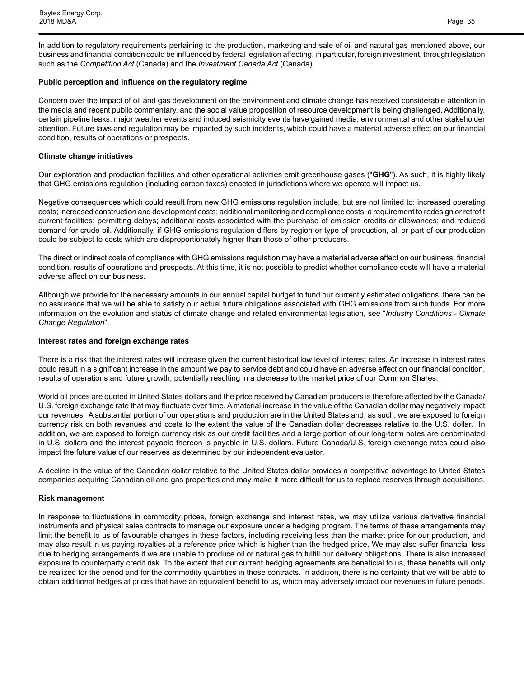In addition to regulatory requirements pertaining to the production, marketing and sale of oil and natural gas mentioned above, our business and financial condition could be influenced by federal legislation affecting, in particular, foreign investment, through legislation such as the *Competition Act* (Canada) and the *Investment Canada Act* (Canada).

## **Public perception and influence on the regulatory regime**

Concern over the impact of oil and gas development on the environment and climate change has received considerable attention in the media and recent public commentary, and the social value proposition of resource development is being challenged. Additionally, certain pipeline leaks, major weather events and induced seismicity events have gained media, environmental and other stakeholder attention. Future laws and regulation may be impacted by such incidents, which could have a material adverse effect on our financial condition, results of operations or prospects.

# **Climate change initiatives**

Our exploration and production facilities and other operational activities emit greenhouse gases ("**GHG**"). As such, it is highly likely that GHG emissions regulation (including carbon taxes) enacted in jurisdictions where we operate will impact us.

Negative consequences which could result from new GHG emissions regulation include, but are not limited to: increased operating costs; increased construction and development costs; additional monitoring and compliance costs; a requirement to redesign or retrofit current facilities; permitting delays; additional costs associated with the purchase of emission credits or allowances; and reduced demand for crude oil. Additionally, if GHG emissions regulation differs by region or type of production, all or part of our production could be subject to costs which are disproportionately higher than those of other producers.

The direct or indirect costs of compliance with GHG emissions regulation may have a material adverse affect on our business, financial condition, results of operations and prospects. At this time, it is not possible to predict whether compliance costs will have a material adverse affect on our business.

Although we provide for the necessary amounts in our annual capital budget to fund our currently estimated obligations, there can be no assurance that we will be able to satisfy our actual future obligations associated with GHG emissions from such funds. For more information on the evolution and status of climate change and related environmental legislation, see "*Industry Conditions - Climate Change Regulation*".

## **Interest rates and foreign exchange rates**

There is a risk that the interest rates will increase given the current historical low level of interest rates. An increase in interest rates could result in a significant increase in the amount we pay to service debt and could have an adverse effect on our financial condition, results of operations and future growth, potentially resulting in a decrease to the market price of our Common Shares.

World oil prices are quoted in United States dollars and the price received by Canadian producers is therefore affected by the Canada/ U.S. foreign exchange rate that may fluctuate over time. A material increase in the value of the Canadian dollar may negatively impact our revenues. A substantial portion of our operations and production are in the United States and, as such, we are exposed to foreign currency risk on both revenues and costs to the extent the value of the Canadian dollar decreases relative to the U.S. dollar. In addition, we are exposed to foreign currency risk as our credit facilities and a large portion of our long-term notes are denominated in U.S. dollars and the interest payable thereon is payable in U.S. dollars. Future Canada/U.S. foreign exchange rates could also impact the future value of our reserves as determined by our independent evaluator.

A decline in the value of the Canadian dollar relative to the United States dollar provides a competitive advantage to United States companies acquiring Canadian oil and gas properties and may make it more difficult for us to replace reserves through acquisitions.

## **Risk management**

In response to fluctuations in commodity prices, foreign exchange and interest rates, we may utilize various derivative financial instruments and physical sales contracts to manage our exposure under a hedging program. The terms of these arrangements may limit the benefit to us of favourable changes in these factors, including receiving less than the market price for our production, and may also result in us paying royalties at a reference price which is higher than the hedged price. We may also suffer financial loss due to hedging arrangements if we are unable to produce oil or natural gas to fulfill our delivery obligations. There is also increased exposure to counterparty credit risk. To the extent that our current hedging agreements are beneficial to us, these benefits will only be realized for the period and for the commodity quantities in those contracts. In addition, there is no certainty that we will be able to obtain additional hedges at prices that have an equivalent benefit to us, which may adversely impact our revenues in future periods.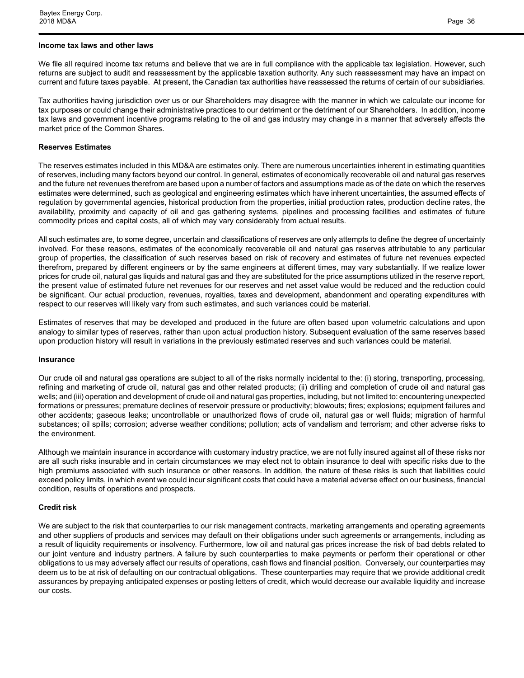#### **Income tax laws and other laws**

We file all required income tax returns and believe that we are in full compliance with the applicable tax legislation. However, such returns are subject to audit and reassessment by the applicable taxation authority. Any such reassessment may have an impact on current and future taxes payable. At present, the Canadian tax authorities have reassessed the returns of certain of our subsidiaries.

Tax authorities having jurisdiction over us or our Shareholders may disagree with the manner in which we calculate our income for tax purposes or could change their administrative practices to our detriment or the detriment of our Shareholders. In addition, income tax laws and government incentive programs relating to the oil and gas industry may change in a manner that adversely affects the market price of the Common Shares.

#### **Reserves Estimates**

The reserves estimates included in this MD&A are estimates only. There are numerous uncertainties inherent in estimating quantities of reserves, including many factors beyond our control. In general, estimates of economically recoverable oil and natural gas reserves and the future net revenues therefrom are based upon a number of factors and assumptions made as of the date on which the reserves estimates were determined, such as geological and engineering estimates which have inherent uncertainties, the assumed effects of regulation by governmental agencies, historical production from the properties, initial production rates, production decline rates, the availability, proximity and capacity of oil and gas gathering systems, pipelines and processing facilities and estimates of future commodity prices and capital costs, all of which may vary considerably from actual results.

All such estimates are, to some degree, uncertain and classifications of reserves are only attempts to define the degree of uncertainty involved. For these reasons, estimates of the economically recoverable oil and natural gas reserves attributable to any particular group of properties, the classification of such reserves based on risk of recovery and estimates of future net revenues expected therefrom, prepared by different engineers or by the same engineers at different times, may vary substantially. If we realize lower prices for crude oil, natural gas liquids and natural gas and they are substituted for the price assumptions utilized in the reserve report, the present value of estimated future net revenues for our reserves and net asset value would be reduced and the reduction could be significant. Our actual production, revenues, royalties, taxes and development, abandonment and operating expenditures with respect to our reserves will likely vary from such estimates, and such variances could be material.

Estimates of reserves that may be developed and produced in the future are often based upon volumetric calculations and upon analogy to similar types of reserves, rather than upon actual production history. Subsequent evaluation of the same reserves based upon production history will result in variations in the previously estimated reserves and such variances could be material.

#### **Insurance**

Our crude oil and natural gas operations are subject to all of the risks normally incidental to the: (i) storing, transporting, processing, refining and marketing of crude oil, natural gas and other related products; (ii) drilling and completion of crude oil and natural gas wells; and (iii) operation and development of crude oil and natural gas properties, including, but not limited to: encountering unexpected formations or pressures; premature declines of reservoir pressure or productivity; blowouts; fires; explosions; equipment failures and other accidents; gaseous leaks; uncontrollable or unauthorized flows of crude oil, natural gas or well fluids; migration of harmful substances; oil spills; corrosion; adverse weather conditions; pollution; acts of vandalism and terrorism; and other adverse risks to the environment.

Although we maintain insurance in accordance with customary industry practice, we are not fully insured against all of these risks nor are all such risks insurable and in certain circumstances we may elect not to obtain insurance to deal with specific risks due to the high premiums associated with such insurance or other reasons. In addition, the nature of these risks is such that liabilities could exceed policy limits, in which event we could incur significant costs that could have a material adverse effect on our business, financial condition, results of operations and prospects.

#### **Credit risk**

We are subject to the risk that counterparties to our risk management contracts, marketing arrangements and operating agreements and other suppliers of products and services may default on their obligations under such agreements or arrangements, including as a result of liquidity requirements or insolvency. Furthermore, low oil and natural gas prices increase the risk of bad debts related to our joint venture and industry partners. A failure by such counterparties to make payments or perform their operational or other obligations to us may adversely affect our results of operations, cash flows and financial position. Conversely, our counterparties may deem us to be at risk of defaulting on our contractual obligations. These counterparties may require that we provide additional credit assurances by prepaying anticipated expenses or posting letters of credit, which would decrease our available liquidity and increase our costs.